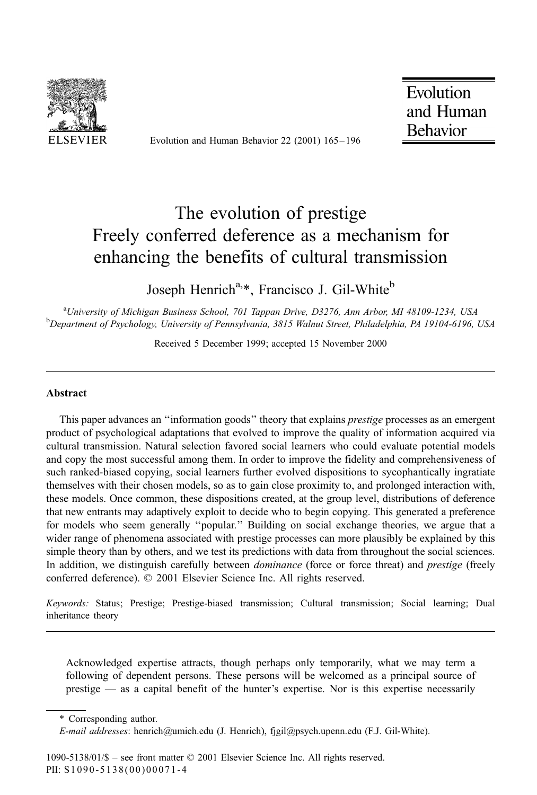

Evolution and Human Behavior 22 (2001) 165-196

Evolution and Human **Behavior** 

# The evolution of prestige Freely conferred deference as a mechanism for enhancing the benefits of cultural transmission

Joseph Henrich<sup>a,\*</sup>, Francisco J. Gil-White<sup>b</sup>

<sup>a</sup>University of Michigan Business School, 701 Tappan Drive, D3276, Ann Arbor, MI 48109-1234, USA <sup>b</sup>Department of Psychology, University of Pennsylvania, 3815 Walnut Street, Philadelphia, PA 19104-6196, USA

Received 5 December 1999; accepted 15 November 2000

## **Abstract**

This paper advances an "information goods" theory that explains *prestige* processes as an emergent product of psychological adaptations that evolved to improve the quality of information acquired via cultural transmission. Natural selection favored social learners who could evaluate potential models and copy the most successful among them. In order to improve the fidelity and comprehensiveness of such ranked-biased copying, social learners further evolved dispositions to sycophantically ingratiate themselves with their chosen models, so as to gain close proximity to, and prolonged interaction with, these models. Once common, these dispositions created, at the group level, distributions of deference that new entrants may adaptively exploit to decide who to begin copying. This generated a preference for models who seem generally "popular." Building on social exchange theories, we argue that a wider range of phenomena associated with prestige processes can more plausibly be explained by this simple theory than by others, and we test its predictions with data from throughout the social sciences. In addition, we distinguish carefully between *dominance* (force or force threat) and *prestige* (freely conferred deference). © 2001 Elsevier Science Inc. All rights reserved.

Keywords: Status; Prestige; Prestige-biased transmission; Cultural transmission; Social learning; Dual inheritance theory

Acknowledged expertise attracts, though perhaps only temporarily, what we may term a following of dependent persons. These persons will be welcomed as a principal source of prestige - as a capital benefit of the hunter's expertise. Nor is this expertise necessarily

\* Corresponding author.

E-mail addresses: henrich@umich.edu (J. Henrich), figil@psych.upenn.edu (F.J. Gil-White).

 $1090-5138/01/\$$  – see front matter © 2001 Elsevier Science Inc. All rights reserved. PII: S1090-5138(00)00071-4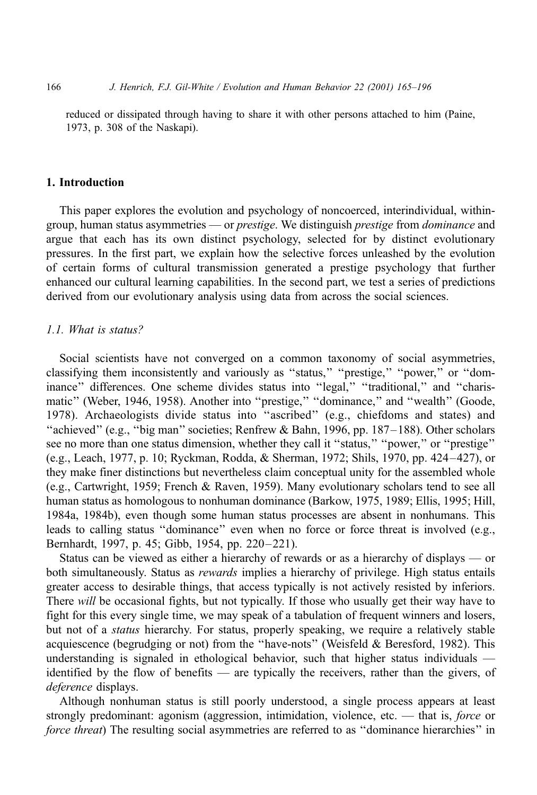reduced or dissipated through having to share it with other persons attached to him (Paine, 1973, p. 308 of the Naskapi).

# 1. Introduction

This paper explores the evolution and psychology of noncoerced, interindividual, withingroup, human status asymmetries — or *prestige*. We distinguish *prestige* from *dominance* and argue that each has its own distinct psychology, selected for by distinct evolutionary pressures. In the first part, we explain how the selective forces unleashed by the evolution of certain forms of cultural transmission generated a prestige psychology that further enhanced our cultural learning capabilities. In the second part, we test a series of predictions derived from our evolutionary analysis using data from across the social sciences.

## 1.1. What is status?

Social scientists have not converged on a common taxonomy of social asymmetries, classifying them inconsistently and variously as "status," "prestige," "power," or "dominance" differences. One scheme divides status into "legal," "traditional," and "charismatic" (Weber, 1946, 1958). Another into "prestige," "dominance," and "wealth" (Goode, 1978). Archaeologists divide status into "ascribed" (e.g., chiefdoms and states) and "achieved" (e.g., "big man" societies; Renfrew & Bahn, 1996, pp. 187–188). Other scholars see no more than one status dimension, whether they call it "status," "power," or "prestige" (e.g., Leach, 1977, p. 10; Ryckman, Rodda, & Sherman, 1972; Shils, 1970, pp. 424–427), or they make finer distinctions but nevertheless claim conceptual unity for the assembled whole (e.g., Cartwright, 1959; French & Raven, 1959). Many evolutionary scholars tend to see all human status as homologous to nonhuman dominance (Barkow, 1975, 1989; Ellis, 1995; Hill, 1984a, 1984b), even though some human status processes are absent in nonhumans. This leads to calling status "dominance" even when no force or force threat is involved (e.g., Bernhardt, 1997, p. 45; Gibb, 1954, pp. 220–221).

Status can be viewed as either a hierarchy of rewards or as a hierarchy of displays — or both simultaneously. Status as *rewards* implies a hierarchy of privilege. High status entails greater access to desirable things, that access typically is not actively resisted by inferiors. There will be occasional fights, but not typically. If those who usually get their way have to fight for this every single time, we may speak of a tabulation of frequent winners and losers, but not of a *status* hierarchy. For status, properly speaking, we require a relatively stable acquiescence (begrudging or not) from the "have-nots" (Weisfeld & Beresford, 1982). This understanding is signaled in ethological behavior, such that higher status individuals identified by the flow of benefits — are typically the receivers, rather than the givers, of deference displays.

Although nonhuman status is still poorly understood, a single process appears at least strongly predominant: agonism (aggression, intimidation, violence, etc. — that is, *force* or force threat) The resulting social asymmetries are referred to as "dominance hierarchies" in

166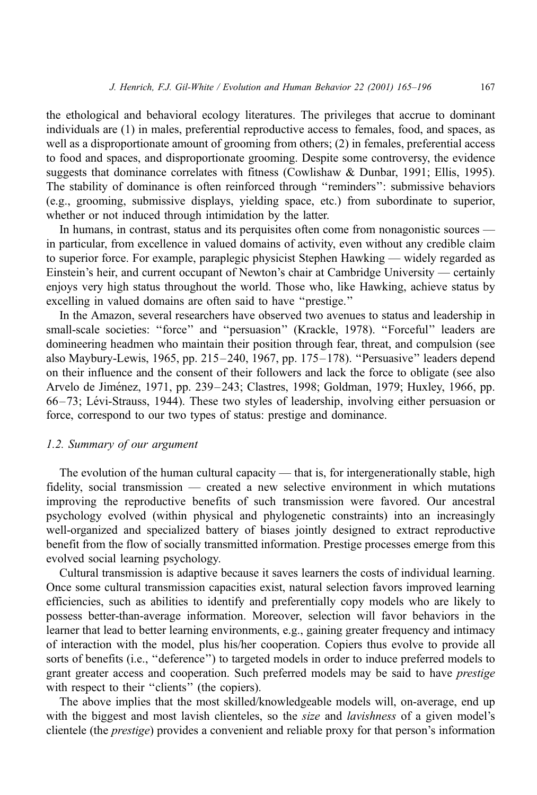the ethological and behavioral ecology literatures. The privileges that accrue to dominant individuals are (1) in males, preferential reproductive access to females, food, and spaces, as well as a disproportionate amount of grooming from others; (2) in females, preferential access to food and spaces, and disproportionate grooming. Despite some controversy, the evidence suggests that dominance correlates with fitness (Cowlishaw & Dunbar, 1991; Ellis, 1995). The stability of dominance is often reinforced through "reminders": submissive behaviors (e.g., grooming, submissive displays, yielding space, etc.) from subordinate to superior, whether or not induced through intimidation by the latter.

In humans, in contrast, status and its perquisites often come from nonagonistic sources in particular, from excellence in valued domains of activity, even without any credible claim to superior force. For example, paraplegic physicist Stephen Hawking — widely regarded as Einstein's heir, and current occupant of Newton's chair at Cambridge University — certainly enjoys very high status throughout the world. Those who, like Hawking, achieve status by excelling in valued domains are often said to have "prestige."

In the Amazon, several researchers have observed two avenues to status and leadership in small-scale societies: "force" and "persuasion" (Krackle, 1978). "Forceful" leaders are domineering headmen who maintain their position through fear, threat, and compulsion (see also Maybury-Lewis, 1965, pp.  $215-240$ , 1967, pp. 175 $-178$ ). "Persuasive" leaders depend on their influence and the consent of their followers and lack the force to obligate (see also Arvelo de Jiménez, 1971, pp. 239–243; Clastres, 1998; Goldman, 1979; Huxley, 1966, pp. 66–73; Lévi-Strauss, 1944). These two styles of leadership, involving either persuasion or force, correspond to our two types of status: prestige and dominance.

#### 1.2. Summary of our argument

The evolution of the human cultural capacity — that is, for intergenerationally stable, high fidelity, social transmission — created a new selective environment in which mutations improving the reproductive benefits of such transmission were favored. Our ancestral psychology evolved (within physical and phylogenetic constraints) into an increasingly well-organized and specialized battery of biases jointly designed to extract reproductive benefit from the flow of socially transmitted information. Prestige processes emerge from this evolved social learning psychology.

Cultural transmission is adaptive because it saves learners the costs of individual learning. Once some cultural transmission capacities exist, natural selection favors improved learning efficiencies, such as abilities to identify and preferentially copy models who are likely to possess better-than-average information. Moreover, selection will favor behaviors in the learner that lead to better learning environments, e.g., gaining greater frequency and intimacy of interaction with the model, plus his/her cooperation. Copiers thus evolve to provide all sorts of benefits (i.e., "deference") to targeted models in order to induce preferred models to grant greater access and cooperation. Such preferred models may be said to have *prestige* with respect to their "clients" (the copiers).

The above implies that the most skilled/knowledgeable models will, on-average, end up with the biggest and most lavish clienteles, so the *size* and *lavishness* of a given model's clientele (the *prestige*) provides a convenient and reliable proxy for that person's information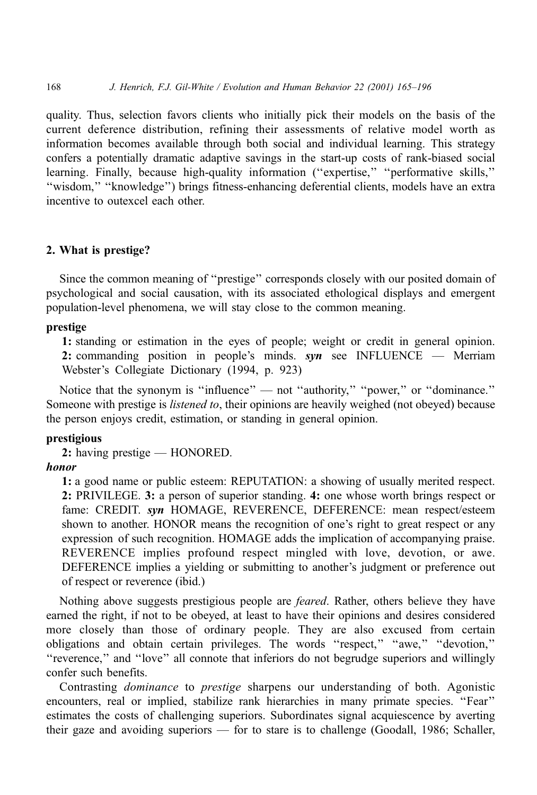quality. Thus, selection favors clients who initially pick their models on the basis of the current deference distribution, refining their assessments of relative model worth as information becomes available through both social and individual learning. This strategy confers a potentially dramatic adaptive savings in the start-up costs of rank-biased social learning. Finally, because high-quality information ("expertise," "performative skills," "wisdom," "knowledge") brings fitness-enhancing deferential clients, models have an extra incentive to outexcel each other.

# 2. What is prestige?

Since the common meaning of "prestige" corresponds closely with our posited domain of psychological and social causation, with its associated ethological displays and emergent population-level phenomena, we will stay close to the common meaning.

# prestige

1: standing or estimation in the eyes of people; weight or credit in general opinion. 2: commanding position in people's minds.  $syn$  see INFLUENCE — Merriam Webster's Collegiate Dictionary (1994, p. 923)

Notice that the synonym is "influence" — not "authority," "power," or "dominance." Someone with prestige is *listened to*, their opinions are heavily weighed (not obeyed) because the person enjoys credit, estimation, or standing in general opinion.

# prestigious

 $2:$  having prestige — HONORED.

# honor

1: a good name or public esteem: REPUTATION: a showing of usually merited respect. 2: PRIVILEGE. 3: a person of superior standing. 4: one whose worth brings respect or fame: CREDIT. syn HOMAGE, REVERENCE, DEFERENCE: mean respect/esteem shown to another. HONOR means the recognition of one's right to great respect or any expression of such recognition. HOMAGE adds the implication of accompanying praise. REVERENCE implies profound respect mingled with love, devotion, or awe. DEFERENCE implies a yielding or submitting to another's judgment or preference out of respect or reverence (ibid.)

Nothing above suggests prestigious people are *feared*. Rather, others believe they have earned the right, if not to be obeyed, at least to have their opinions and desires considered more closely than those of ordinary people. They are also excused from certain obligations and obtain certain privileges. The words "respect," "awe," "devotion," "reverence," and "love" all connote that inferiors do not begrudge superiors and willingly confer such benefits.

Contrasting *dominance* to *prestige* sharpens our understanding of both. Agonistic encounters, real or implied, stabilize rank hierarchies in many primate species. "Fear" estimates the costs of challenging superiors. Subordinates signal acquiescence by averting their gaze and avoiding superiors — for to stare is to challenge (Goodall, 1986; Schaller,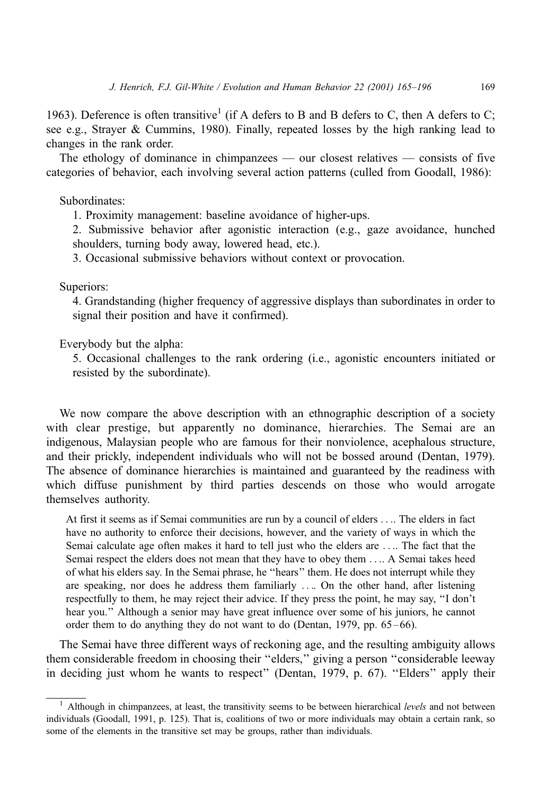1963). Deference is often transitive<sup>1</sup> (if A defers to B and B defers to C, then A defers to C; see e.g., Strayer & Cummins, 1980). Finally, repeated losses by the high ranking lead to changes in the rank order.

The ethology of dominance in chimpanzees — our closest relatives — consists of five categories of behavior, each involving several action patterns (culled from Goodall, 1986):

Subordinates:

1. Proximity management: baseline avoidance of higher-ups.

2. Submissive behavior after agonistic interaction (e.g., gaze avoidance, hunched shoulders, turning body away, lowered head, etc.).

3. Occasional submissive behaviors without context or provocation.

Superiors:

4. Grandstanding (higher frequency of aggressive displays than subordinates in order to signal their position and have it confirmed).

Everybody but the alpha:

5. Occasional challenges to the rank ordering (i.e., agonistic encounters initiated or resisted by the subordinate).

We now compare the above description with an ethnographic description of a society with clear prestige, but apparently no dominance, hierarchies. The Semai are an indigenous, Malaysian people who are famous for their nonviolence, acephalous structure, and their prickly, independent individuals who will not be bossed around (Dentan, 1979). The absence of dominance hierarchies is maintained and guaranteed by the readiness with which diffuse punishment by third parties descends on those who would arrogate themselves authority.

At first it seems as if Semai communities are run by a council of elders .... The elders in fact have no authority to enforce their decisions, however, and the variety of ways in which the Semai calculate age often makes it hard to tell just who the elders are .... The fact that the Semai respect the elders does not mean that they have to obey them .... A Semai takes heed of what his elders say. In the Semai phrase, he "hears" them. He does not interrupt while they are speaking, nor does he address them familiarly  $\dots$ . On the other hand, after listening respectfully to them, he may reject their advice. If they press the point, he may say, "I don't hear you." Although a senior may have great influence over some of his juniors, he cannot order them to do anything they do not want to do (Dentan, 1979, pp.  $65-66$ ).

The Semai have three different ways of reckoning age, and the resulting ambiguity allows them considerable freedom in choosing their "elders," giving a person "considerable leeway in deciding just whom he wants to respect" (Dentan, 1979, p. 67). "Elders" apply their

 $\frac{1}{2}$  Although in chimpanzees, at least, the transitivity seems to be between hierarchical levels and not between individuals (Goodall, 1991, p. 125). That is, coalitions of two or more individuals may obtain a certain rank, so some of the elements in the transitive set may be groups, rather than individuals.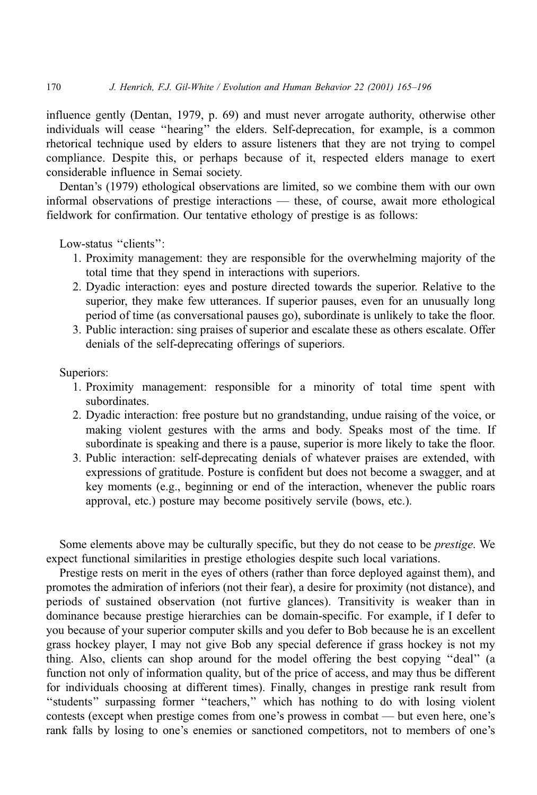influence gently (Dentan, 1979, p. 69) and must never arrogate authority, otherwise other individuals will cease "hearing" the elders. Self-deprecation, for example, is a common rhetorical technique used by elders to assure listeners that they are not trying to compel compliance. Despite this, or perhaps because of it, respected elders manage to exert considerable influence in Semai society.

Dentan's (1979) ethological observations are limited, so we combine them with our own informal observations of prestige interactions — these, of course, await more ethological fieldwork for confirmation. Our tentative ethology of prestige is as follows:

Low-status "clients":

- 1. Proximity management: they are responsible for the overwhelming majority of the total time that they spend in interactions with superiors.
- 2. Dyadic interaction: eyes and posture directed towards the superior. Relative to the superior, they make few utterances. If superior pauses, even for an unusually long period of time (as conversational pauses go), subordinate is unlikely to take the floor.
- 3. Public interaction: sing praises of superior and escalate these as others escalate. Offer denials of the self-deprecating offerings of superiors.

Superiors:

- 1. Proximity management: responsible for a minority of total time spent with subordinates.
- 2. Dyadic interaction: free posture but no grandstanding, undue raising of the voice, or making violent gestures with the arms and body. Speaks most of the time. If subordinate is speaking and there is a pause, superior is more likely to take the floor.
- 3. Public interaction: self-deprecating denials of whatever praises are extended, with expressions of gratitude. Posture is confident but does not become a swagger, and at key moments (e.g., beginning or end of the interaction, whenever the public roars approval, etc.) posture may become positively servile (bows, etc.).

Some elements above may be culturally specific, but they do not cease to be *prestige*. We expect functional similarities in prestige ethologies despite such local variations.

Prestige rests on merit in the eyes of others (rather than force deployed against them), and promotes the admiration of inferiors (not their fear), a desire for proximity (not distance), and periods of sustained observation (not furtive glances). Transitivity is weaker than in dominance because prestige hierarchies can be domain-specific. For example, if I defer to you because of your superior computer skills and you defer to Bob because he is an excellent grass hockey player, I may not give Bob any special deference if grass hockey is not my thing. Also, clients can shop around for the model offering the best copying "deal" (a function not only of information quality, but of the price of access, and may thus be different for individuals choosing at different times). Finally, changes in prestige rank result from "students" surpassing former "teachers," which has nothing to do with losing violent contests (except when prestige comes from one's prowess in combat — but even here, one's rank falls by losing to one's enemies or sanctioned competitors, not to members of one's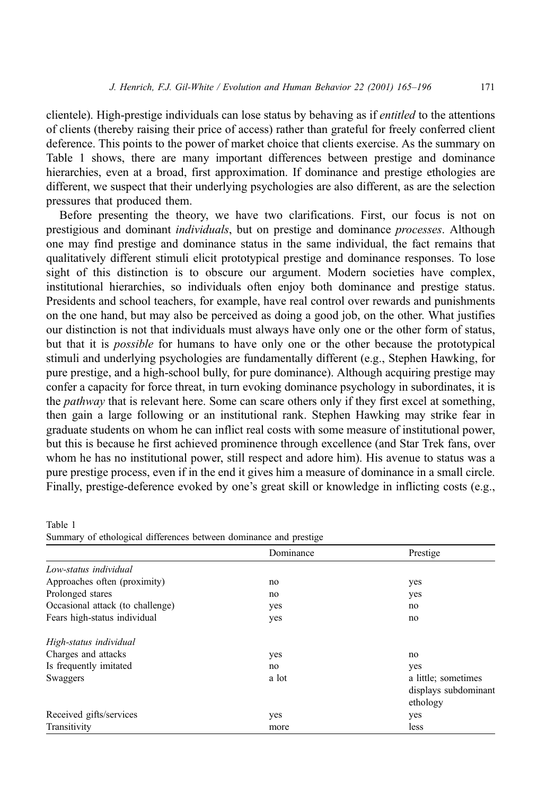clientele). High-prestige individuals can lose status by behaving as if *entitled* to the attentions of clients (thereby raising their price of access) rather than grateful for freely conferred client deference. This points to the power of market choice that clients exercise. As the summary on Table 1 shows, there are many important differences between prestige and dominance hierarchies, even at a broad, first approximation. If dominance and prestige ethologies are different, we suspect that their underlying psychologies are also different, as are the selection pressures that produced them.

Before presenting the theory, we have two clarifications. First, our focus is not on prestigious and dominant *individuals*, but on prestige and dominance *processes*. Although one may find prestige and dominance status in the same individual, the fact remains that qualitatively different stimuli elicit prototypical prestige and dominance responses. To lose sight of this distinction is to obscure our argument. Modern societies have complex, institutional hierarchies, so individuals often enjoy both dominance and prestige status. Presidents and school teachers, for example, have real control over rewards and punishments on the one hand, but may also be perceived as doing a good job, on the other. What justifies our distinction is not that individuals must always have only one or the other form of status, but that it is *possible* for humans to have only one or the other because the prototypical stimuli and underlying psychologies are fundamentally different (e.g., Stephen Hawking, for pure prestige, and a high-school bully, for pure dominance). Although acquiring prestige may confer a capacity for force threat, in turn evoking dominance psychology in subordinates, it is the *pathway* that is relevant here. Some can scare others only if they first excel at something, then gain a large following or an institutional rank. Stephen Hawking may strike fear in graduate students on whom he can inflict real costs with some measure of institutional power, but this is because he first achieved prominence through excellence (and Star Trek fans, over whom he has no institutional power, still respect and adore him). His avenue to status was a pure prestige process, even if in the end it gives him a measure of dominance in a small circle. Finally, prestige-deference evoked by one's great skill or knowledge in inflicting costs (e.g.,

| Bummary of culological uniclences between dominance and prestige |           |                                                         |
|------------------------------------------------------------------|-----------|---------------------------------------------------------|
|                                                                  | Dominance | Prestige                                                |
| Low-status individual                                            |           |                                                         |
| Approaches often (proximity)                                     | no        | yes                                                     |
| Prolonged stares                                                 | no        | yes                                                     |
| Occasional attack (to challenge)                                 | yes       | no                                                      |
| Fears high-status individual                                     | yes       | no                                                      |
| High-status individual                                           |           |                                                         |
| Charges and attacks                                              | yes       | no                                                      |
| Is frequently imitated                                           | no        | yes                                                     |
| Swaggers                                                         | a lot     | a little; sometimes<br>displays subdominant<br>ethology |
| Received gifts/services                                          | yes       | yes                                                     |
| Transitivity                                                     | more      | less                                                    |

Table 1 Summary of ethological differences between dominance and prestige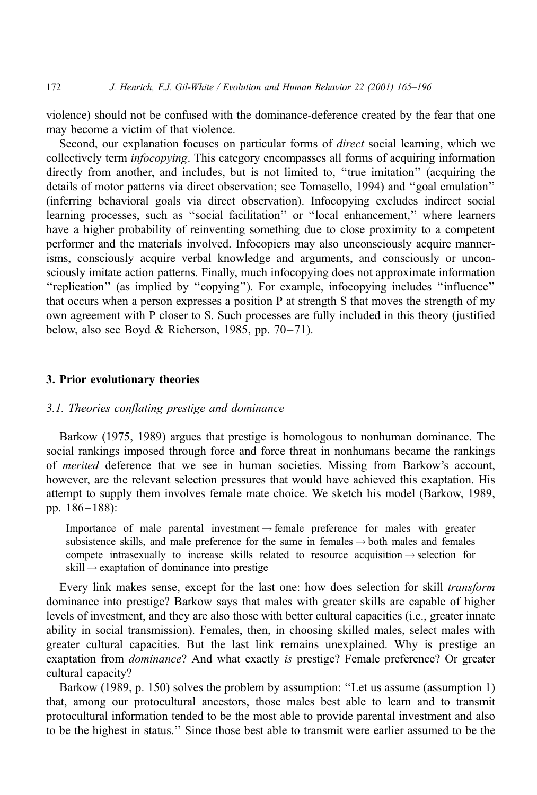violence) should not be confused with the dominance-deference created by the fear that one may become a victim of that violence.

Second, our explanation focuses on particular forms of *direct* social learning, which we collectively term *infocopying*. This category encompasses all forms of acquiring information directly from another, and includes, but is not limited to, "true imitation" (acquiring the details of motor patterns via direct observation; see Tomasello, 1994) and "goal emulation" (inferring behavioral goals via direct observation). Infocopying excludes indirect social learning processes, such as "social facilitation" or "local enhancement," where learners have a higher probability of reinventing something due to close proximity to a competent performer and the materials involved. Infocopiers may also unconsciously acquire mannerisms, consciously acquire verbal knowledge and arguments, and consciously or unconsciously imitate action patterns. Finally, much infocopying does not approximate information "replication" (as implied by "copying"). For example, infocopying includes "influence" that occurs when a person expresses a position P at strength S that moves the strength of my own agreement with P closer to S. Such processes are fully included in this theory (justified below, also see Boyd & Richerson, 1985, pp.  $70-71$ ).

## 3. Prior evolutionary theories

## 3.1. Theories conflating prestige and dominance

Barkow (1975, 1989) argues that prestige is homologous to nonhuman dominance. The social rankings imposed through force and force threat in nonhumans became the rankings of *merited* deference that we see in human societies. Missing from Barkow's account, however, are the relevant selection pressures that would have achieved this exaptation. His attempt to supply them involves female mate choice. We sketch his model (Barkow, 1989, pp.  $186-188$ :

Importance of male parental investment  $\rightarrow$  female preference for males with greater subsistence skills, and male preference for the same in females  $\rightarrow$  both males and females compete intrasexually to increase skills related to resource acquisition  $\rightarrow$  selection for skill  $\rightarrow$  exaptation of dominance into prestige

Every link makes sense, except for the last one: how does selection for skill *transform* dominance into prestige? Barkow says that males with greater skills are capable of higher levels of investment, and they are also those with better cultural capacities (i.e., greater innate ability in social transmission). Females, then, in choosing skilled males, select males with greater cultural capacities. But the last link remains unexplained. Why is prestige an exaptation from *dominance*? And what exactly is prestige? Female preference? Or greater cultural capacity?

Barkow (1989, p. 150) solves the problem by assumption: "Let us assume (assumption 1) that, among our protocultural ancestors, those males best able to learn and to transmit protocultural information tended to be the most able to provide parental investment and also to be the highest in status." Since those best able to transmit were earlier assumed to be the

172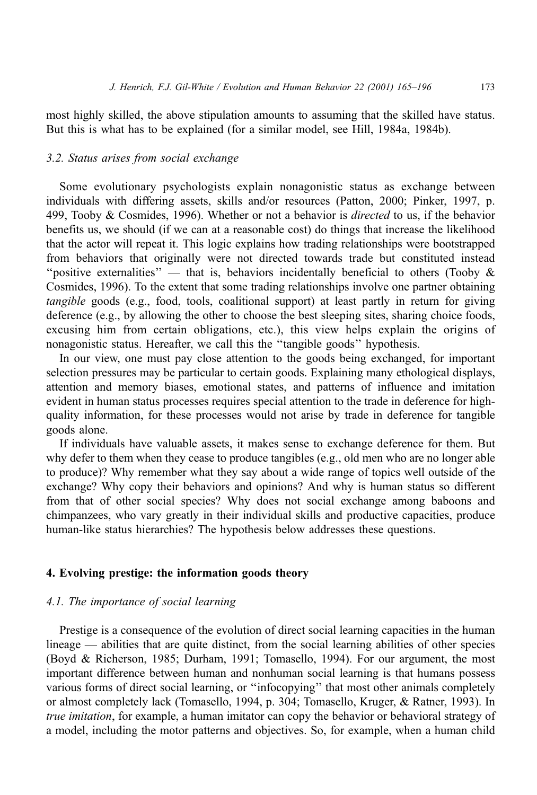most highly skilled, the above stipulation amounts to assuming that the skilled have status. But this is what has to be explained (for a similar model, see Hill, 1984a, 1984b).

#### 3.2. Status arises from social exchange

Some evolutionary psychologists explain nonagonistic status as exchange between individuals with differing assets, skills and/or resources (Patton, 2000; Pinker, 1997, p. 499, Tooby & Cosmides, 1996). Whether or not a behavior is *directed* to us, if the behavior benefits us, we should (if we can at a reasonable cost) do things that increase the likelihood that the actor will repeat it. This logic explains how trading relationships were bootstrapped from behaviors that originally were not directed towards trade but constituted instead "positive externalities" — that is, behaviors incidentally beneficial to others (Tooby  $\&$ Cosmides, 1996). To the extent that some trading relationships involve one partner obtaining *tangible* goods (e.g., food, tools, coalitional support) at least partly in return for giving deference (e.g., by allowing the other to choose the best sleeping sites, sharing choice foods, excusing him from certain obligations, etc.), this view helps explain the origins of nonagonistic status. Hereafter, we call this the "tangible goods" hypothesis.

In our view, one must pay close attention to the goods being exchanged, for important selection pressures may be particular to certain goods. Explaining many ethological displays, attention and memory biases, emotional states, and patterns of influence and imitation evident in human status processes requires special attention to the trade in deference for highquality information, for these processes would not arise by trade in deference for tangible goods alone.

If individuals have valuable assets, it makes sense to exchange deference for them. But why defer to them when they cease to produce tangibles  $(e.g., old men who are no longer able)$ to produce)? Why remember what they say about a wide range of topics well outside of the exchange? Why copy their behaviors and opinions? And why is human status so different from that of other social species? Why does not social exchange among baboons and chimpanzees, who vary greatly in their individual skills and productive capacities, produce human-like status hierarchies? The hypothesis below addresses these questions.

#### 4. Evolving prestige: the information goods theory

### 4.1. The importance of social learning

Prestige is a consequence of the evolution of direct social learning capacities in the human lineage  $-$  abilities that are quite distinct, from the social learning abilities of other species (Boyd & Richerson, 1985; Durham, 1991; Tomasello, 1994). For our argument, the most important difference between human and nonhuman social learning is that humans possess various forms of direct social learning, or "infocopying" that most other animals completely or almost completely lack (Tomasello, 1994, p. 304; Tomasello, Kruger, & Ratner, 1993). In *true imitation*, for example, a human imitator can copy the behavior or behavioral strategy of a model, including the motor patterns and objectives. So, for example, when a human child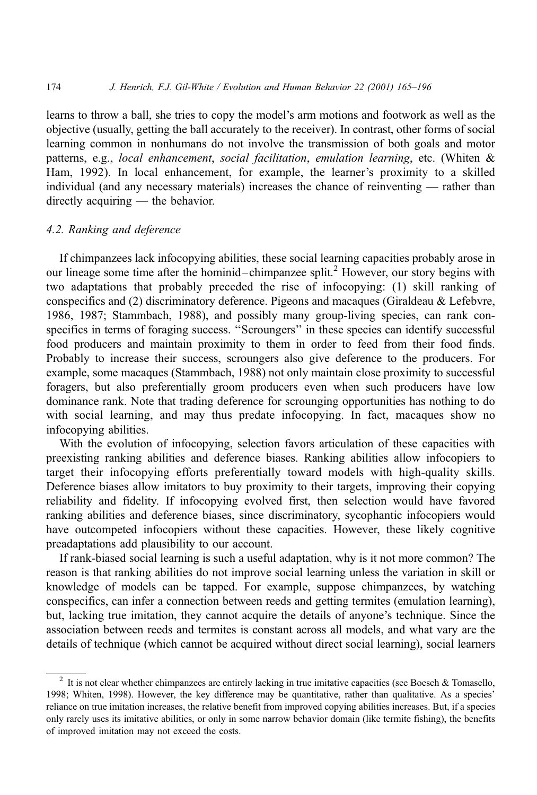learns to throw a ball, she tries to copy the model's arm motions and footwork as well as the objective (usually, getting the ball accurately to the receiver). In contrast, other forms of social learning common in nonhumans do not involve the transmission of both goals and motor patterns, e.g., *local enhancement, social facilitation, emulation learning*, etc. (Whiten & Ham, 1992). In local enhancement, for example, the learner's proximity to a skilled individual (and any necessary materials) increases the chance of reinventing — rather than directly acquiring  $-$  the behavior.

#### 4.2. Ranking and deference

174

If chimpanzees lack infocopying abilities, these social learning capacities probably arose in our lineage some time after the hominid-chimpanzee split.<sup>2</sup> However, our story begins with two adaptations that probably preceded the rise of infocopying: (1) skill ranking of conspecifics and (2) discriminatory deference. Pigeons and macaques (Giraldeau & Lefebvre, 1986, 1987; Stammbach, 1988), and possibly many group-living species, can rank conspecifics in terms of foraging success. "Scroungers" in these species can identify successful food producers and maintain proximity to them in order to feed from their food finds. Probably to increase their success, scroungers also give deference to the producers. For example, some macaques (Stammbach, 1988) not only maintain close proximity to successful foragers, but also preferentially groom producers even when such producers have low dominance rank. Note that trading deference for scrounging opportunities has nothing to do with social learning, and may thus predate infocopying. In fact, macaques show no infocopying abilities.

With the evolution of infocopying, selection favors articulation of these capacities with preexisting ranking abilities and deference biases. Ranking abilities allow infocopiers to target their infocopying efforts preferentially toward models with high-quality skills. Deference biases allow imitators to buy proximity to their targets, improving their copying reliability and fidelity. If infocopying evolved first, then selection would have favored ranking abilities and deference biases, since discriminatory, sycophantic infocopiers would have outcompeted infocopiers without these capacities. However, these likely cognitive preadaptations add plausibility to our account.

If rank-biased social learning is such a useful adaptation, why is it not more common? The reason is that ranking abilities do not improve social learning unless the variation in skill or knowledge of models can be tapped. For example, suppose chimpanzees, by watching conspecifics, can infer a connection between reeds and getting termites (emulation learning), but, lacking true imitation, they cannot acquire the details of anyone's technique. Since the association between reeds and termites is constant across all models, and what vary are the details of technique (which cannot be acquired without direct social learning), social learners

 $2$  It is not clear whether chimpanzees are entirely lacking in true imitative capacities (see Boesch & Tomasello, 1998; Whiten, 1998). However, the key difference may be quantitative, rather than qualitative. As a species' reliance on true imitation increases, the relative benefit from improved copying abilities increases. But, if a species only rarely uses its imitative abilities, or only in some narrow behavior domain (like termite fishing), the benefits of improved imitation may not exceed the costs.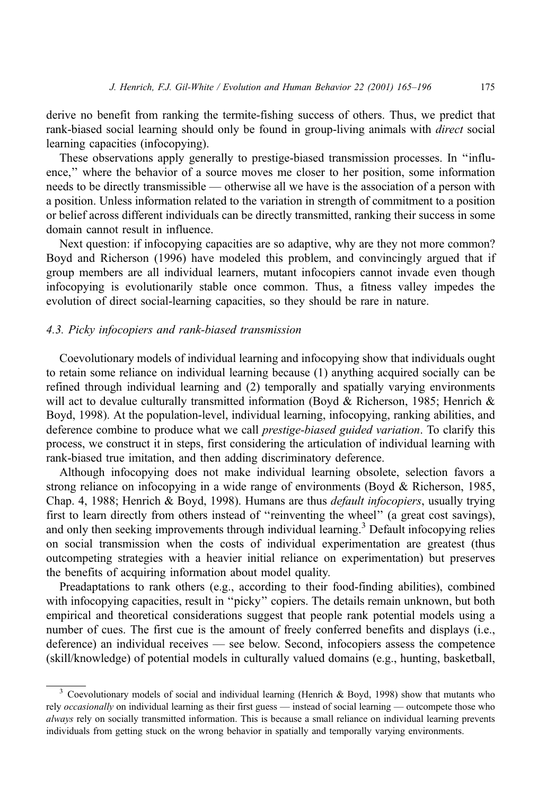derive no benefit from ranking the termite-fishing success of others. Thus, we predict that rank-biased social learning should only be found in group-living animals with *direct* social learning capacities (infocopying).

These observations apply generally to prestige-biased transmission processes. In "influence," where the behavior of a source moves me closer to her position, some information needs to be directly transmissible — otherwise all we have is the association of a person with a position. Unless information related to the variation in strength of commitment to a position or belief across different individuals can be directly transmitted, ranking their success in some domain cannot result in influence.

Next question: if infocopying capacities are so adaptive, why are they not more common? Boyd and Richerson (1996) have modeled this problem, and convincingly argued that if group members are all individual learners, mutant infocopiers cannot invade even though infocopying is evolutionarily stable once common. Thus, a fitness valley impedes the evolution of direct social-learning capacities, so they should be rare in nature.

# 4.3. Picky infocopiers and rank-biased transmission

Coevolutionary models of individual learning and infocopying show that individuals ought to retain some reliance on individual learning because (1) anything acquired socially can be refined through individual learning and (2) temporally and spatially varying environments will act to devalue culturally transmitted information (Boyd & Richerson, 1985; Henrich & Boyd, 1998). At the population-level, individual learning, infocopying, ranking abilities, and deference combine to produce what we call *prestige-biased guided variation*. To clarify this process, we construct it in steps, first considering the articulation of individual learning with rank-biased true imitation, and then adding discriminatory deference.

Although infocopying does not make individual learning obsolete, selection favors a strong reliance on infocopying in a wide range of environments (Boyd & Richerson, 1985, Chap. 4, 1988; Henrich & Boyd, 1998). Humans are thus *default infocopiers*, usually trying first to learn directly from others instead of "reinventing the wheel" (a great cost savings), and only then seeking improvements through individual learning.<sup>3</sup> Default infocopying relies on social transmission when the costs of individual experimentation are greatest (thus outcompeting strategies with a heavier initial reliance on experimentation) but preserves the benefits of acquiring information about model quality.

Preadaptations to rank others (e.g., according to their food-finding abilities), combined with infocopying capacities, result in "picky" copiers. The details remain unknown, but both empirical and theoretical considerations suggest that people rank potential models using a number of cues. The first cue is the amount of freely conferred benefits and displays (i.e., deference) an individual receives — see below. Second, infocopiers assess the competence (skill/knowledge) of potential models in culturally valued domains (e.g., hunting, basketball,

 $3$  Coevolutionary models of social and individual learning (Henrich & Boyd, 1998) show that mutants who rely *occasionally* on individual learning as their first guess — instead of social learning — outcompete those who always rely on socially transmitted information. This is because a small reliance on individual learning prevents individuals from getting stuck on the wrong behavior in spatially and temporally varying environments.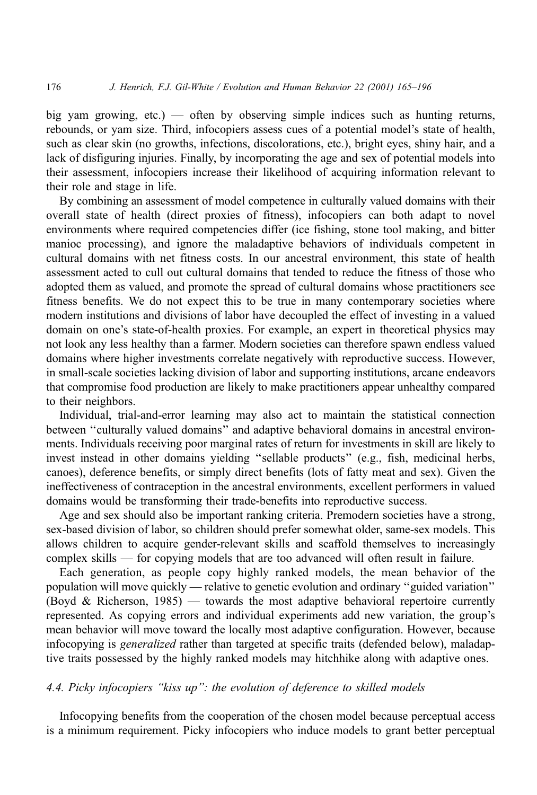big yam growing, etc.) — often by observing simple indices such as hunting returns, rebounds, or yam size. Third, infocopiers assess cues of a potential model's state of health, such as clear skin (no growths, infections, discolorations, etc.), bright eyes, shiny hair, and a lack of disfiguring injuries. Finally, by incorporating the age and sex of potential models into their assessment, infocopiers increase their likelihood of acquiring information relevant to their role and stage in life.

By combining an assessment of model competence in culturally valued domains with their overall state of health (direct proxies of fitness), infocopiers can both adapt to novel environments where required competencies differ (ice fishing, stone tool making, and bitter manioc processing), and ignore the maladaptive behaviors of individuals competent in cultural domains with net fitness costs. In our ancestral environment, this state of health assessment acted to cull out cultural domains that tended to reduce the fitness of those who adopted them as valued, and promote the spread of cultural domains whose practitioners see fitness benefits. We do not expect this to be true in many contemporary societies where modern institutions and divisions of labor have decoupled the effect of investing in a valued domain on one's state-of-health proxies. For example, an expert in theoretical physics may not look any less healthy than a farmer. Modern societies can therefore spawn endless valued domains where higher investments correlate negatively with reproductive success. However, in small-scale societies lacking division of labor and supporting institutions, arcane endeavors that compromise food production are likely to make practitioners appear unhealthy compared to their neighbors.

Individual, trial-and-error learning may also act to maintain the statistical connection between "culturally valued domains" and adaptive behavioral domains in ancestral environments. Individuals receiving poor marginal rates of return for investments in skill are likely to invest instead in other domains yielding "sellable products" (e.g., fish, medicinal herbs, canoes), deference benefits, or simply direct benefits (lots of fatty meat and sex). Given the ineffectiveness of contraception in the ancestral environments, excellent performers in valued domains would be transforming their trade-benefits into reproductive success.

Age and sex should also be important ranking criteria. Premodern societies have a strong, sex-based division of labor, so children should prefer somewhat older, same-sex models. This allows children to acquire gender-relevant skills and scaffold themselves to increasingly complex skills — for copying models that are too advanced will often result in failure.

Each generation, as people copy highly ranked models, the mean behavior of the population will move quickly — relative to genetic evolution and ordinary "guided variation" (Boyd & Richerson, 1985) — towards the most adaptive behavioral repertoire currently represented. As copying errors and individual experiments add new variation, the group's mean behavior will move toward the locally most adaptive configuration. However, because infocopying is *generalized* rather than targeted at specific traits (defended below), maladaptive traits possessed by the highly ranked models may hitchhike along with adaptive ones.

## 4.4. Picky infocopiers "kiss up": the evolution of deference to skilled models

Infocopying benefits from the cooperation of the chosen model because perceptual access is a minimum requirement. Picky infocopiers who induce models to grant better perceptual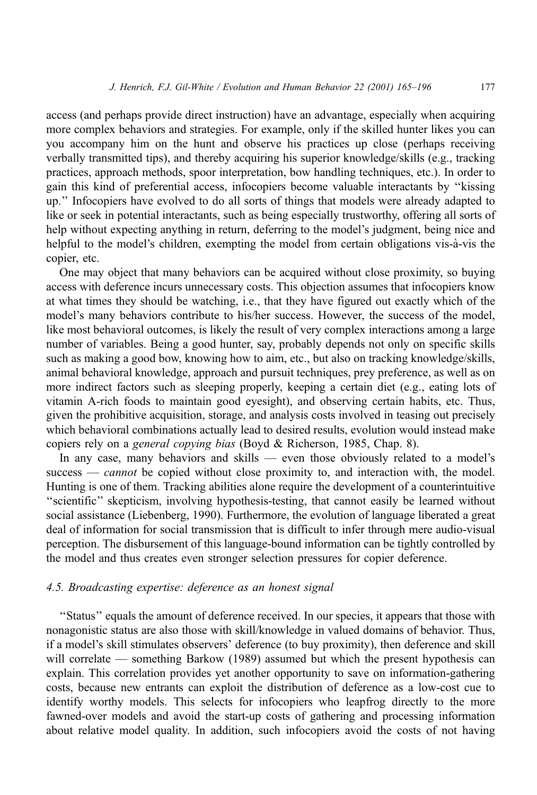access (and perhaps provide direct instruction) have an advantage, especially when acquiring more complex behaviors and strategies. For example, only if the skilled hunter likes you can you accompany him on the hunt and observe his practices up close (perhaps receiving verbally transmitted tips), and thereby acquiring his superior knowledge/skills (e.g., tracking practices, approach methods, spoor interpretation, bow handling techniques, etc.). In order to gain this kind of preferential access, infocopiers become valuable interactants by "kissing up." Infocopiers have evolved to do all sorts of things that models were already adapted to like or seek in potential interactants, such as being especially trustworthy, offering all sorts of help without expecting anything in return, deferring to the model's judgment, being nice and helpful to the model's children, exempting the model from certain obligations vis-à-vis the copier, etc.

One may object that many behaviors can be acquired without close proximity, so buying access with deference incurs unnecessary costs. This objection assumes that infocopiers know at what times they should be watching, i.e., that they have figured out exactly which of the model's many behaviors contribute to his/her success. However, the success of the model, like most behavioral outcomes, is likely the result of very complex interactions among a large number of variables. Being a good hunter, say, probably depends not only on specific skills such as making a good bow, knowing how to aim, etc., but also on tracking knowledge/skills, animal behavioral knowledge, approach and pursuit techniques, prey preference, as well as on more indirect factors such as sleeping properly, keeping a certain diet (e.g., eating lots of vitamin A-rich foods to maintain good eyesight), and observing certain habits, etc. Thus, given the prohibitive acquisition, storage, and analysis costs involved in teasing out precisely which behavioral combinations actually lead to desired results, evolution would instead make copiers rely on a general copying bias (Boyd & Richerson, 1985, Chap. 8).

In any case, many behaviors and skills — even those obviously related to a model's success — *cannot* be copied without close proximity to, and interaction with, the model. Hunting is one of them. Tracking abilities alone require the development of a counterintuitive "scientific" skepticism, involving hypothesis-testing, that cannot easily be learned without social assistance (Liebenberg, 1990). Furthermore, the evolution of language liberated a great deal of information for social transmission that is difficult to infer through mere audio-visual perception. The disbursement of this language-bound information can be tightly controlled by the model and thus creates even stronger selection pressures for copier deference.

#### 4.5. Broadcasting expertise: deference as an honest signal

"Status" equals the amount of deference received. In our species, it appears that those with nonagonistic status are also those with skill/knowledge in valued domains of behavior. Thus, if a model's skill stimulates observers' deference (to buy proximity), then deference and skill will correlate — something Barkow (1989) assumed but which the present hypothesis can explain. This correlation provides yet another opportunity to save on information-gathering costs, because new entrants can exploit the distribution of deference as a low-cost cue to identify worthy models. This selects for infocopiers who leapfrog directly to the more fawned-over models and avoid the start-up costs of gathering and processing information about relative model quality. In addition, such infocopiers avoid the costs of not having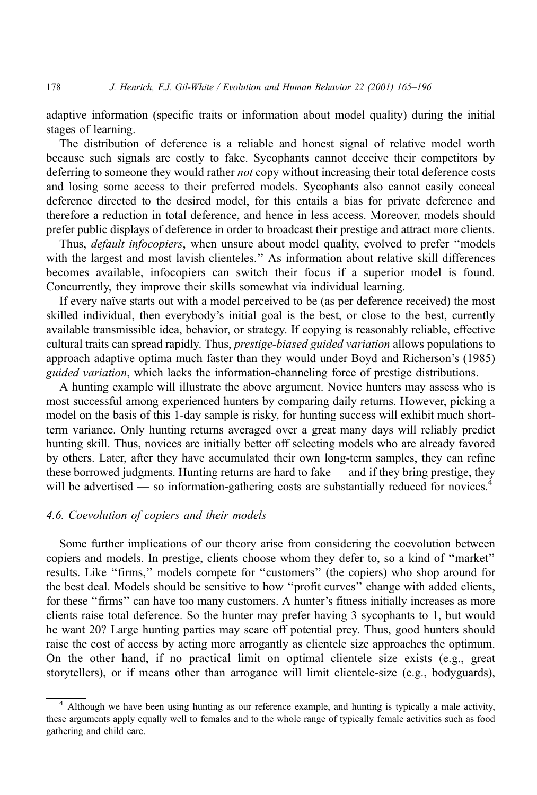adaptive information (specific traits or information about model quality) during the initial stages of learning.

The distribution of deference is a reliable and honest signal of relative model worth because such signals are costly to fake. Sycophants cannot deceive their competitors by deferring to someone they would rather not copy without increasing their total deference costs and losing some access to their preferred models. Sycophants also cannot easily conceal deference directed to the desired model, for this entails a bias for private deference and therefore a reduction in total deference, and hence in less access. Moreover, models should prefer public displays of deference in order to broadcast their prestige and attract more clients.

Thus, *default infocopiers*, when unsure about model quality, evolved to prefer "models" with the largest and most lavish clienteles." As information about relative skill differences becomes available, infocopiers can switch their focus if a superior model is found. Concurrently, they improve their skills somewhat via individual learning.

If every naïve starts out with a model perceived to be (as per deference received) the most skilled individual, then everybody's initial goal is the best, or close to the best, currently available transmissible idea, behavior, or strategy. If copying is reasonably reliable, effective cultural traits can spread rapidly. Thus, *prestige-biased guided variation* allows populations to approach adaptive optima much faster than they would under Boyd and Richerson's (1985) *guided variation*, which lacks the information-channeling force of prestige distributions.

A hunting example will illustrate the above argument. Novice hunters may assess who is most successful among experienced hunters by comparing daily returns. However, picking a model on the basis of this 1-day sample is risky, for hunting success will exhibit much shortterm variance. Only hunting returns averaged over a great many days will reliably predict hunting skill. Thus, novices are initially better off selecting models who are already favored by others. Later, after they have accumulated their own long-term samples, they can refine these borrowed judgments. Hunting returns are hard to fake — and if they bring prestige, they will be advertised — so information-gathering costs are substantially reduced for novices.<sup>4</sup>

# 4.6. Coevolution of copiers and their models

Some further implications of our theory arise from considering the coevolution between copiers and models. In prestige, clients choose whom they defer to, so a kind of "market" results. Like "firms," models compete for "customers" (the copiers) who shop around for the best deal. Models should be sensitive to how "profit curves" change with added clients, for these "firms" can have too many customers. A hunter's fitness initially increases as more clients raise total deference. So the hunter may prefer having 3 sycophants to 1, but would he want 20? Large hunting parties may scare off potential prey. Thus, good hunters should raise the cost of access by acting more arrogantly as clientele size approaches the optimum. On the other hand, if no practical limit on optimal clientele size exists (e.g., great storytellers), or if means other than arrogance will limit clientele-size (e.g., bodyguards),

<sup>&</sup>lt;sup>4</sup> Although we have been using hunting as our reference example, and hunting is typically a male activity, these arguments apply equally well to females and to the whole range of typically female activities such as food gathering and child care.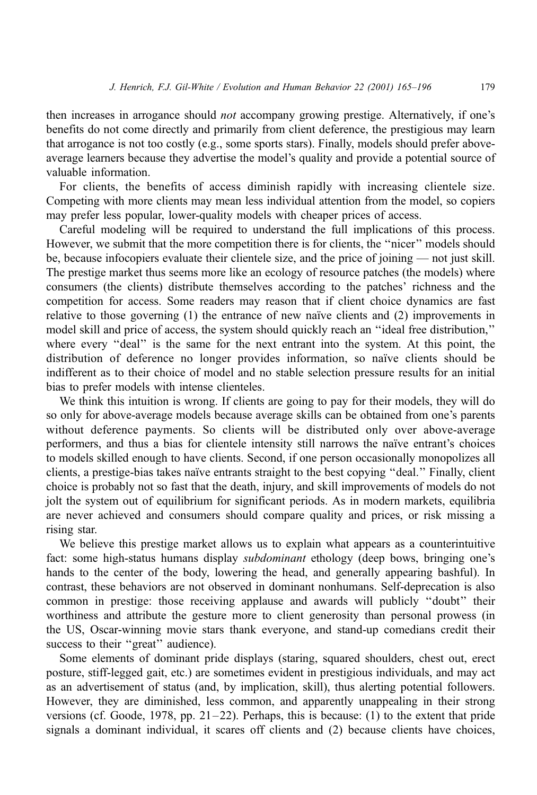then increases in arrogance should *not* accompany growing prestige. Alternatively, if one's benefits do not come directly and primarily from client deference, the prestigious may learn that arrogance is not too costly (e.g., some sports stars). Finally, models should prefer aboveaverage learners because they advertise the model's quality and provide a potential source of valuable information.

For clients, the benefits of access diminish rapidly with increasing clientele size. Competing with more clients may mean less individual attention from the model, so copiers may prefer less popular, lower-quality models with cheaper prices of access.

Careful modeling will be required to understand the full implications of this process. However, we submit that the more competition there is for clients, the "nicer" models should be, because infocopiers evaluate their clientele size, and the price of joining — not just skill. The prestige market thus seems more like an ecology of resource patches (the models) where consumers (the clients) distribute themselves according to the patches' richness and the competition for access. Some readers may reason that if client choice dynamics are fast relative to those governing (1) the entrance of new naïve clients and (2) improvements in model skill and price of access, the system should quickly reach an "ideal free distribution," where every "deal" is the same for the next entrant into the system. At this point, the distribution of deference no longer provides information, so naïve clients should be indifferent as to their choice of model and no stable selection pressure results for an initial bias to prefer models with intense clienteles.

We think this intuition is wrong. If clients are going to pay for their models, they will do so only for above-average models because average skills can be obtained from one's parents without deference payments. So clients will be distributed only over above-average performers, and thus a bias for clientele intensity still narrows the naïve entrant's choices to models skilled enough to have clients. Second, if one person occasionally monopolizes all clients, a prestige-bias takes naïve entrants straight to the best copying "deal." Finally, client choice is probably not so fast that the death, injury, and skill improvements of models do not jolt the system out of equilibrium for significant periods. As in modern markets, equilibria are never achieved and consumers should compare quality and prices, or risk missing a rising star.

We believe this prestige market allows us to explain what appears as a counterintuitive fact: some high-status humans display *subdominant* ethology (deep bows, bringing one's hands to the center of the body, lowering the head, and generally appearing bashful). In contrast, these behaviors are not observed in dominant nonhumans. Self-deprecation is also common in prestige: those receiving applause and awards will publicly "doubt" their worthiness and attribute the gesture more to client generosity than personal prowess (in the US, Oscar-winning movie stars thank everyone, and stand-up comedians credit their success to their "great" audience).

Some elements of dominant pride displays (staring, squared shoulders, chest out, erect posture, stiff-legged gait, etc.) are sometimes evident in prestigious individuals, and may act as an advertisement of status (and, by implication, skill), thus alerting potential followers. However, they are diminished, less common, and apparently unappealing in their strong versions (cf. Goode, 1978, pp.  $21-22$ ). Perhaps, this is because: (1) to the extent that pride signals a dominant individual, it scares off clients and (2) because clients have choices,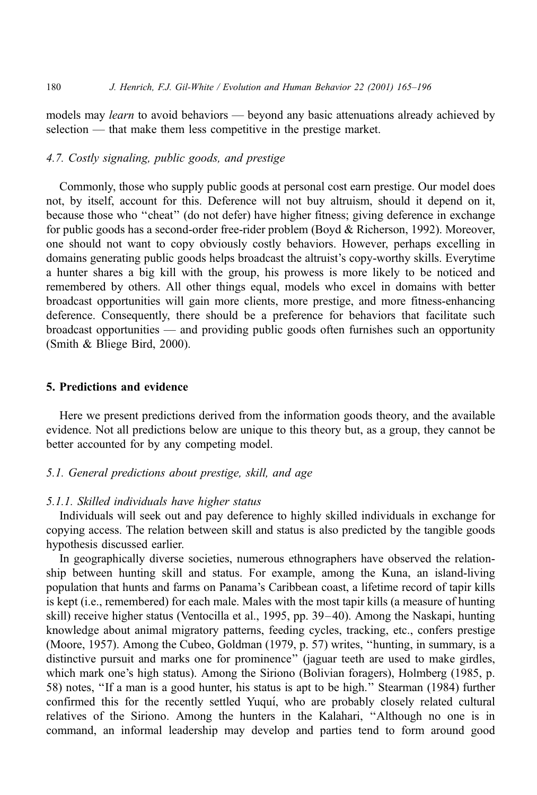models may *learn* to avoid behaviors — beyond any basic attenuations already achieved by selection — that make them less competitive in the prestige market.

# 4.7. Costly signaling, public goods, and prestige

Commonly, those who supply public goods at personal cost earn prestige. Our model does not, by itself, account for this. Deference will not buy altruism, should it depend on it, because those who "cheat" (do not defer) have higher fitness; giving deference in exchange for public goods has a second-order free-rider problem (Boyd & Richerson, 1992). Moreover, one should not want to copy obviously costly behaviors. However, perhaps excelling in domains generating public goods helps broadcast the altruist's copy-worthy skills. Everytime a hunter shares a big kill with the group, his prowess is more likely to be noticed and remembered by others. All other things equal, models who excel in domains with better broadcast opportunities will gain more clients, more prestige, and more fitness-enhancing deference. Consequently, there should be a preference for behaviors that facilitate such broadcast opportunities — and providing public goods often furnishes such an opportunity (Smith & Bliege Bird, 2000).

# 5. Predictions and evidence

Here we present predictions derived from the information goods theory, and the available evidence. Not all predictions below are unique to this theory but, as a group, they cannot be better accounted for by any competing model.

#### 5.1. General predictions about prestige, skill, and age

#### 5.1.1. Skilled individuals have higher status

Individuals will seek out and pay deference to highly skilled individuals in exchange for copying access. The relation between skill and status is also predicted by the tangible goods hypothesis discussed earlier.

In geographically diverse societies, numerous ethnographers have observed the relationship between hunting skill and status. For example, among the Kuna, an island-living population that hunts and farms on Panama's Caribbean coast, a lifetime record of tapir kills is kept (i.e., remembered) for each male. Males with the most tapir kills (a measure of hunting skill) receive higher status (Ventocilla et al., 1995, pp. 39–40). Among the Naskapi, hunting knowledge about animal migratory patterns, feeding cycles, tracking, etc., confers prestige (Moore, 1957). Among the Cubeo, Goldman (1979, p. 57) writes, "hunting, in summary, is a distinctive pursuit and marks one for prominence" (jaguar teeth are used to make girdles, which mark one's high status). Among the Siriono (Bolivian foragers), Holmberg (1985, p. 58) notes, "If a man is a good hunter, his status is apt to be high." Stearman (1984) further confirmed this for the recently settled Yuquí, who are probably closely related cultural relatives of the Siriono. Among the hunters in the Kalahari, "Although no one is in command, an informal leadership may develop and parties tend to form around good

180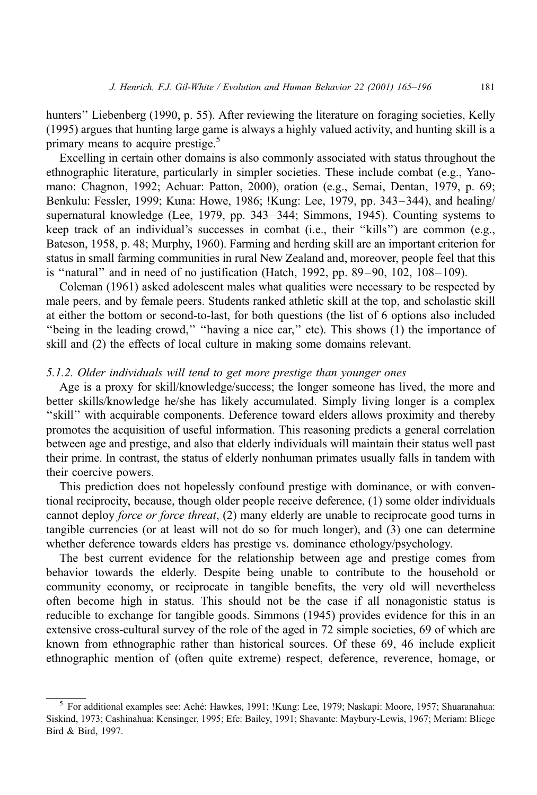hunters" Liebenberg (1990, p. 55). After reviewing the literature on foraging societies, Kelly (1995) argues that hunting large game is always a highly valued activity, and hunting skill is a primary means to acquire prestige.<sup>5</sup>

Excelling in certain other domains is also commonly associated with status throughout the ethnographic literature, particularly in simpler societies. These include combat (e.g., Yanomano: Chagnon, 1992; Achuar: Patton, 2000), oration (e.g., Semai, Dentan, 1979, p. 69; Benkulu: Fessler, 1999; Kuna: Howe, 1986; !Kung: Lee, 1979, pp. 343–344), and healing/ supernatural knowledge (Lee, 1979, pp. 343–344; Simmons, 1945). Counting systems to keep track of an individual's successes in combat (i.e., their "kills") are common (e.g., Bateson, 1958, p. 48; Murphy, 1960). Farming and herding skill are an important criterion for status in small farming communities in rural New Zealand and, moreover, people feel that this is "natural" and in need of no justification (Hatch, 1992, pp.  $89-90$ , 102, 108-109).

Coleman (1961) asked adolescent males what qualities were necessary to be respected by male peers, and by female peers. Students ranked athletic skill at the top, and scholastic skill at either the bottom or second-to-last, for both questions (the list of 6 options also included "being in the leading crowd," "having a nice car," etc). This shows (1) the importance of skill and (2) the effects of local culture in making some domains relevant.

# 5.1.2. Older individuals will tend to get more prestige than vounger ones

Age is a proxy for skill/knowledge/success; the longer someone has lived, the more and better skills/knowledge he/she has likely accumulated. Simply living longer is a complex "skill" with acquirable components. Deference toward elders allows proximity and thereby promotes the acquisition of useful information. This reasoning predicts a general correlation between age and prestige, and also that elderly individuals will maintain their status well past their prime. In contrast, the status of elderly nonhuman primates usually falls in tandem with their coercive powers.

This prediction does not hopelessly confound prestige with dominance, or with conventional reciprocity, because, though older people receive deference, (1) some older individuals cannot deploy *force or force threat*, (2) many elderly are unable to reciprocate good turns in tangible currencies (or at least will not do so for much longer), and (3) one can determine whether deference towards elders has prestige vs. dominance ethology/psychology.

The best current evidence for the relationship between age and prestige comes from behavior towards the elderly. Despite being unable to contribute to the household or community economy, or reciprocate in tangible benefits, the very old will nevertheless often become high in status. This should not be the case if all nonagonistic status is reducible to exchange for tangible goods. Simmons (1945) provides evidence for this in an extensive cross-cultural survey of the role of the aged in 72 simple societies, 69 of which are known from ethnographic rather than historical sources. Of these 69, 46 include explicit ethnographic mention of (often quite extreme) respect, deference, reverence, homage, or

<sup>&</sup>lt;sup>5</sup> For additional examples see: Aché: Hawkes, 1991; !Kung: Lee, 1979; Naskapi: Moore, 1957; Shuaranahua: Siskind, 1973; Cashinahua: Kensinger, 1995; Efe: Bailey, 1991; Shavante: Maybury-Lewis, 1967; Meriam: Bliege Bird & Bird, 1997.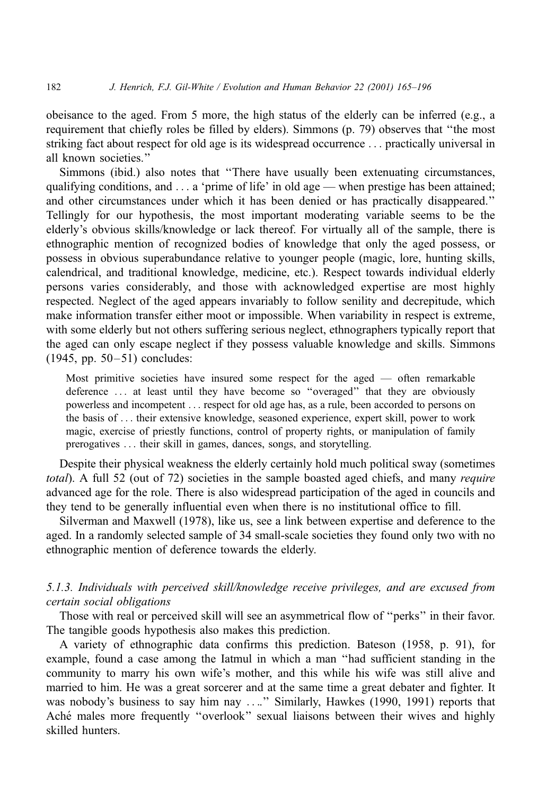obeisance to the aged. From 5 more, the high status of the elderly can be inferred (e.g., a requirement that chiefly roles be filled by elders). Simmons (p. 79) observes that "the most striking fact about respect for old age is its widespread occurrence ... practically universal in all known societies."

Simmons (ibid.) also notes that "There have usually been extenuating circumstances, qualifying conditions, and  $\dots$  a 'prime of life' in old age — when prestige has been attained; and other circumstances under which it has been denied or has practically disappeared." Tellingly for our hypothesis, the most important moderating variable seems to be the elderly's obvious skills/knowledge or lack thereof. For virtually all of the sample, there is ethnographic mention of recognized bodies of knowledge that only the aged possess, or possess in obvious superabundance relative to younger people (magic, lore, hunting skills, calendrical, and traditional knowledge, medicine, etc.). Respect towards individual elderly persons varies considerably, and those with acknowledged expertise are most highly respected. Neglect of the aged appears invariably to follow senility and decrepitude, which make information transfer either moot or impossible. When variability in respect is extreme, with some elderly but not others suffering serious neglect, ethnographers typically report that the aged can only escape neglect if they possess valuable knowledge and skills. Simmons  $(1945, pp. 50-51)$  concludes:

Most primitive societies have insured some respect for the aged — often remarkable deference ... at least until they have become so "overaged" that they are obviously powerless and incompetent . . . respect for old age has, as a rule, been accorded to persons on the basis of ... their extensive knowledge, seasoned experience, expert skill, power to work magic, exercise of priestly functions, control of property rights, or manipulation of family prerogatives ... their skill in games, dances, songs, and storytelling.

Despite their physical weakness the elderly certainly hold much political sway (sometimes total). A full 52 (out of 72) societies in the sample boasted aged chiefs, and many *require* advanced age for the role. There is also widespread participation of the aged in councils and they tend to be generally influential even when there is no institutional office to fill.

Silverman and Maxwell (1978), like us, see a link between expertise and deference to the aged. In a randomly selected sample of 34 small-scale societies they found only two with no ethnographic mention of deference towards the elderly.

# 5.1.3. Individuals with perceived skill/knowledge receive privileges, and are excused from certain social obligations

Those with real or perceived skill will see an asymmetrical flow of "perks" in their favor. The tangible goods hypothesis also makes this prediction.

A variety of ethnographic data confirms this prediction. Bateson (1958, p. 91), for example, found a case among the Iatmul in which a man "had sufficient standing in the community to marry his own wife's mother, and this while his wife was still alive and married to him. He was a great sorcerer and at the same time a great debater and fighter. It was nobody's business to say him nay ...." Similarly, Hawkes (1990, 1991) reports that Aché males more frequently "overlook" sexual liaisons between their wives and highly skilled hunters.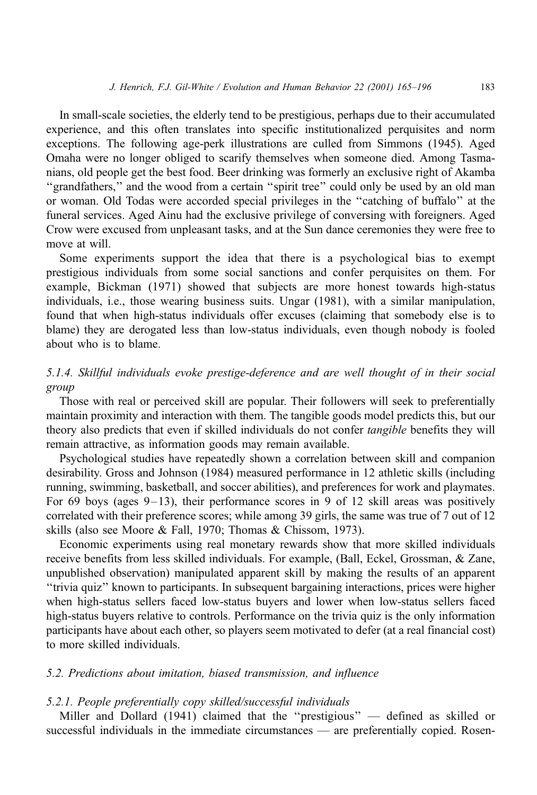In small-scale societies, the elderly tend to be prestigious, perhaps due to their accumulated experience, and this often translates into specific institutionalized perquisites and norm exceptions. The following age-perk illustrations are culled from Simmons (1945). Aged Omaha were no longer obliged to scarify themselves when someone died. Among Tasmanians, old people get the best food. Beer drinking was formerly an exclusive right of Akamba "grandfathers," and the wood from a certain "spirit tree" could only be used by an old man or woman. Old Todas were accorded special privileges in the "catching of buffalo" at the funeral services. Aged Ainu had the exclusive privilege of conversing with foreigners. Aged Crow were excused from unpleasant tasks, and at the Sun dance ceremonies they were free to move at will.

Some experiments support the idea that there is a psychological bias to exempt prestigious individuals from some social sanctions and confer perquisites on them. For example, Bickman (1971) showed that subjects are more honest towards high-status individuals, i.e., those wearing business suits. Ungar (1981), with a similar manipulation, found that when high-status individuals offer excuses (claiming that somebody else is to blame) they are derogated less than low-status individuals, even though nobody is fooled about who is to blame.

# 5.1.4. Skillful individuals evoke prestige-deference and are well thought of in their social group

Those with real or perceived skill are popular. Their followers will seek to preferentially maintain proximity and interaction with them. The tangible goods model predicts this, but our theory also predicts that even if skilled individuals do not confer *tangible* benefits they will remain attractive, as information goods may remain available.

Psychological studies have repeatedly shown a correlation between skill and companion desirability. Gross and Johnson (1984) measured performance in 12 athletic skills (including running, swimming, basketball, and soccer abilities), and preferences for work and playmates. For 69 boys (ages  $9-13$ ), their performance scores in 9 of 12 skill areas was positively correlated with their preference scores; while among 39 girls, the same was true of 7 out of 12 skills (also see Moore & Fall, 1970; Thomas & Chissom, 1973).

Economic experiments using real monetary rewards show that more skilled individuals receive benefits from less skilled individuals. For example, (Ball, Eckel, Grossman, & Zane, unpublished observation) manipulated apparent skill by making the results of an apparent "trivia quiz" known to participants. In subsequent bargaining interactions, prices were higher when high-status sellers faced low-status buyers and lower when low-status sellers faced high-status buyers relative to controls. Performance on the trivia quiz is the only information participants have about each other, so players seem motivated to defer (at a real financial cost) to more skilled individuals.

## 5.2. Predictions about imitation, biased transmission, and influence

### 5.2.1. People preferentially copy skilled/successful individuals

Miller and Dollard  $(1941)$  claimed that the "prestigious" — defined as skilled or successful individuals in the immediate circumstances — are preferentially copied. Rosen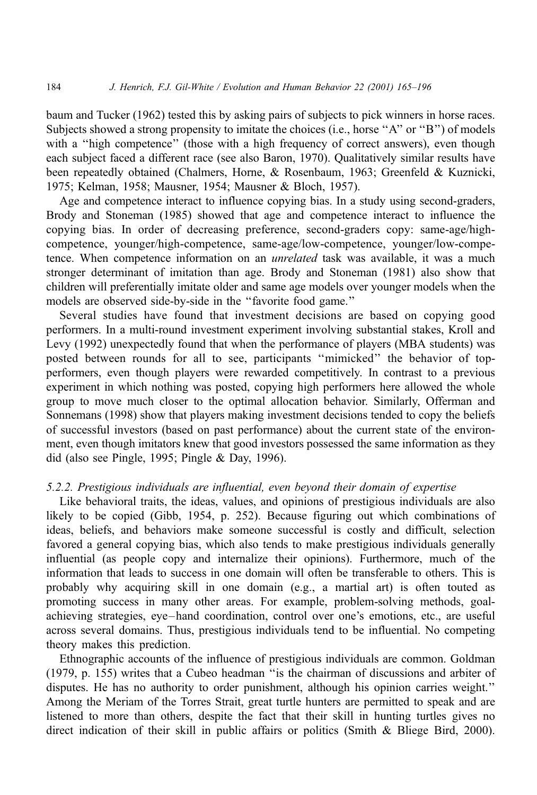baum and Tucker (1962) tested this by asking pairs of subjects to pick winners in horse races. Subjects showed a strong propensity to imitate the choices (i.e., horse "A" or "B") of models with a "high competence" (those with a high frequency of correct answers), even though each subject faced a different race (see also Baron, 1970). Qualitatively similar results have been repeatedly obtained (Chalmers, Horne, & Rosenbaum, 1963; Greenfeld & Kuznicki, 1975; Kelman, 1958; Mausner, 1954; Mausner & Bloch, 1957).

Age and competence interact to influence copying bias. In a study using second-graders, Brody and Stoneman (1985) showed that age and competence interact to influence the copying bias. In order of decreasing preference, second-graders copy: same-age/highcompetence, younger/high-competence, same-age/low-competence, younger/low-competence. When competence information on an *unrelated* task was available, it was a much stronger determinant of imitation than age. Brody and Stoneman (1981) also show that children will preferentially imitate older and same age models over younger models when the models are observed side-by-side in the "favorite food game."

Several studies have found that investment decisions are based on copying good performers. In a multi-round investment experiment involving substantial stakes, Kroll and Levy (1992) unexpectedly found that when the performance of players (MBA students) was posted between rounds for all to see, participants "mimicked" the behavior of topperformers, even though players were rewarded competitively. In contrast to a previous experiment in which nothing was posted, copying high performers here allowed the whole group to move much closer to the optimal allocation behavior. Similarly, Offerman and Sonnemans (1998) show that players making investment decisions tended to copy the beliefs of successful investors (based on past performance) about the current state of the environment, even though imitators knew that good investors possessed the same information as they did (also see Pingle, 1995; Pingle & Day, 1996).

#### 5.2.2. Prestigious individuals are influential, even beyond their domain of expertise

Like behavioral traits, the ideas, values, and opinions of prestigious individuals are also likely to be copied (Gibb, 1954, p. 252). Because figuring out which combinations of ideas, beliefs, and behaviors make someone successful is costly and difficult, selection favored a general copying bias, which also tends to make prestigious individuals generally influential (as people copy and internalize their opinions). Furthermore, much of the information that leads to success in one domain will often be transferable to others. This is probably why acquiring skill in one domain (e.g., a martial art) is often touted as promoting success in many other areas. For example, problem-solving methods, goalachieving strategies, eye-hand coordination, control over one's emotions, etc., are useful across several domains. Thus, prestigious individuals tend to be influential. No competing theory makes this prediction.

Ethnographic accounts of the influence of prestigious individuals are common. Goldman (1979, p. 155) writes that a Cubeo headman "is the chairman of discussions and arbiter of disputes. He has no authority to order punishment, although his opinion carries weight." Among the Meriam of the Torres Strait, great turtle hunters are permitted to speak and are listened to more than others, despite the fact that their skill in hunting turtles gives no direct indication of their skill in public affairs or politics (Smith  $\&$  Bliege Bird, 2000).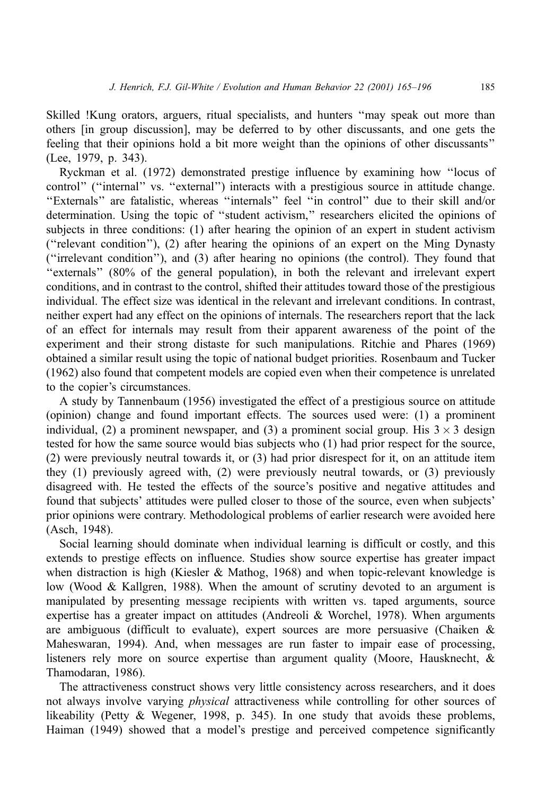Skilled !Kung orators, arguers, ritual specialists, and hunters "may speak out more than others [in group discussion], may be deferred to by other discussants, and one gets the feeling that their opinions hold a bit more weight than the opinions of other discussants" (Lee, 1979, p. 343).

Ryckman et al. (1972) demonstrated prestige influence by examining how "locus of control" ("internal" vs. "external") interacts with a prestigious source in attitude change. "Externals" are fatalistic, whereas "internals" feel "in control" due to their skill and/or determination. Using the topic of "student activism," researchers elicited the opinions of subjects in three conditions: (1) after hearing the opinion of an expert in student activism ("relevant condition"), (2) after hearing the opinions of an expert on the Ming Dynasty ("irrelevant condition"), and (3) after hearing no opinions (the control). They found that "externals" (80% of the general population), in both the relevant and irrelevant expert conditions, and in contrast to the control, shifted their attitudes toward those of the prestigious individual. The effect size was identical in the relevant and irrelevant conditions. In contrast, neither expert had any effect on the opinions of internals. The researchers report that the lack of an effect for internals may result from their apparent awareness of the point of the experiment and their strong distaste for such manipulations. Ritchie and Phares (1969) obtained a similar result using the topic of national budget priorities. Rosenbaum and Tucker (1962) also found that competent models are copied even when their competence is unrelated to the copier's circumstances.

A study by Tannenbaum (1956) investigated the effect of a prestigious source on attitude (opinion) change and found important effects. The sources used were: (1) a prominent individual, (2) a prominent newspaper, and (3) a prominent social group. His  $3 \times 3$  design tested for how the same source would bias subjects who (1) had prior respect for the source, (2) were previously neutral towards it, or (3) had prior disrespect for it, on an attitude item they (1) previously agreed with, (2) were previously neutral towards, or (3) previously disagreed with. He tested the effects of the source's positive and negative attitudes and found that subjects' attitudes were pulled closer to those of the source, even when subjects' prior opinions were contrary. Methodological problems of earlier research were avoided here (Asch. 1948).

Social learning should dominate when individual learning is difficult or costly, and this extends to prestige effects on influence. Studies show source expertise has greater impact when distraction is high (Kiesler & Mathog, 1968) and when topic-relevant knowledge is low (Wood & Kallgren, 1988). When the amount of scrutiny devoted to an argument is manipulated by presenting message recipients with written vs. taped arguments, source expertise has a greater impact on attitudes (Andreoli & Worchel, 1978). When arguments are ambiguous (difficult to evaluate), expert sources are more persuasive (Chaiken  $\&$ Maheswaran, 1994). And, when messages are run faster to impair ease of processing, listeners rely more on source expertise than argument quality (Moore, Hausknecht,  $\&$ Thamodaran, 1986).

The attractiveness construct shows very little consistency across researchers, and it does not always involve varying *physical* attractiveness while controlling for other sources of likeability (Petty & Wegener, 1998, p. 345). In one study that avoids these problems, Haiman (1949) showed that a model's prestige and perceived competence significantly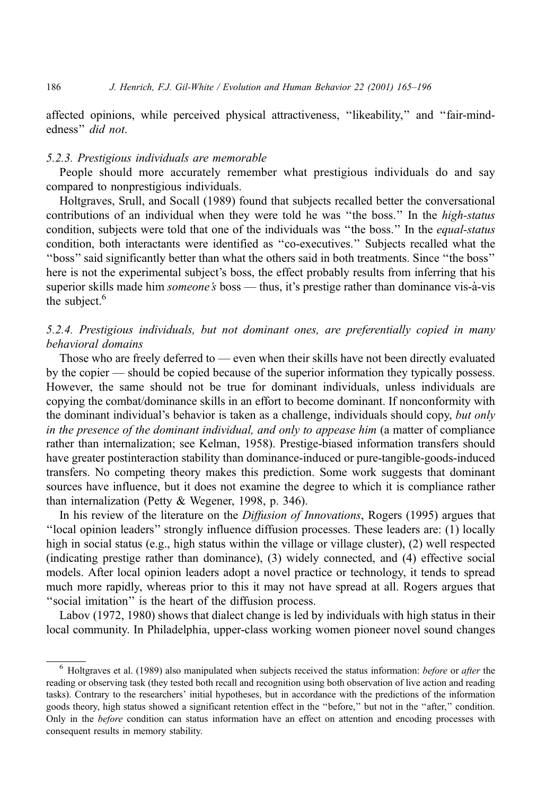affected opinions, while perceived physical attractiveness, "likeability," and "fair-mindedness" did not.

#### 5.2.3. Prestigious individuals are memorable

People should more accurately remember what prestigious individuals do and say compared to nonprestigious individuals.

Holtgraves, Srull, and Socall (1989) found that subjects recalled better the conversational contributions of an individual when they were told he was "the boss." In the high-status condition, subjects were told that one of the individuals was "the boss." In the *equal-status* condition, both interactants were identified as "co-executives." Subjects recalled what the "boss" said significantly better than what the others said in both treatments. Since "the boss" here is not the experimental subject's boss, the effect probably results from inferring that his superior skills made him someone's boss - thus, it's prestige rather than dominance vis-à-vis the subject.<sup>6</sup>

# 5.2.4. Prestigious individuals, but not dominant ones, are preferentially copied in many behavioral domains

Those who are freely deferred to — even when their skills have not been directly evaluated by the copier — should be copied because of the superior information they typically possess. However, the same should not be true for dominant individuals, unless individuals are copying the combat/dominance skills in an effort to become dominant. If nonconformity with the dominant individual's behavior is taken as a challenge, individuals should copy, but only in the presence of the dominant individual, and only to appease him (a matter of compliance rather than internalization; see Kelman, 1958). Prestige-biased information transfers should have greater postinteraction stability than dominance-induced or pure-tangible-goods-induced transfers. No competing theory makes this prediction. Some work suggests that dominant sources have influence, but it does not examine the degree to which it is compliance rather than internalization (Petty & Wegener, 1998, p. 346).

In his review of the literature on the *Diffusion of Innovations*, Rogers (1995) argues that "local opinion leaders" strongly influence diffusion processes. These leaders are: (1) locally high in social status (e.g., high status within the village or village cluster), (2) well respected (indicating prestige rather than dominance), (3) widely connected, and (4) effective social models. After local opinion leaders adopt a novel practice or technology, it tends to spread much more rapidly, whereas prior to this it may not have spread at all. Rogers argues that "social imitation" is the heart of the diffusion process.

Labov (1972, 1980) shows that dialect change is led by individuals with high status in their local community. In Philadelphia, upper-class working women pioneer novel sound changes

 $6$  Holtgraves et al. (1989) also manipulated when subjects received the status information: before or after the reading or observing task (they tested both recall and recognition using both observation of live action and reading tasks). Contrary to the researchers' initial hypotheses, but in accordance with the predictions of the information goods theory, high status showed a significant retention effect in the "before," but not in the "after," condition. Only in the before condition can status information have an effect on attention and encoding processes with consequent results in memory stability.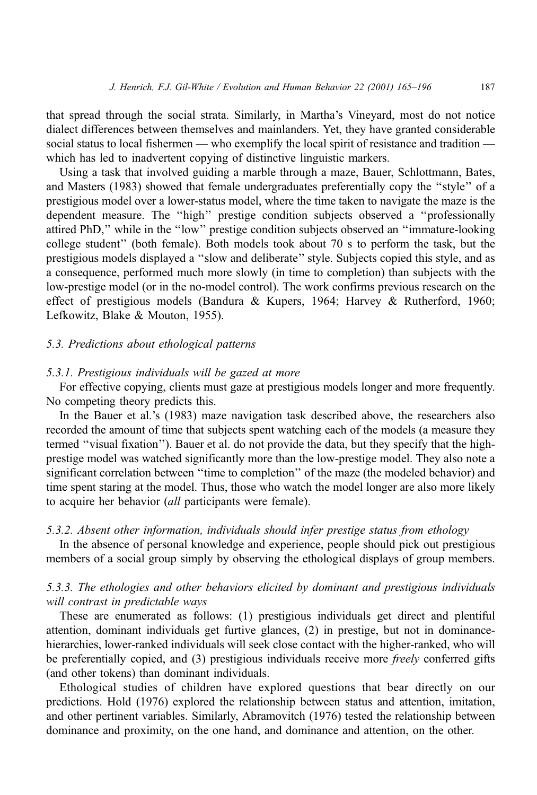that spread through the social strata. Similarly, in Martha's Vineyard, most do not notice dialect differences between themselves and mainlanders. Yet, they have granted considerable social status to local fishermen — who exemplify the local spirit of resistance and tradition which has led to inadvertent copying of distinctive linguistic markers.

Using a task that involved guiding a marble through a maze, Bauer, Schlottmann, Bates, and Masters (1983) showed that female undergraduates preferentially copy the "style" of a prestigious model over a lower-status model, where the time taken to navigate the maze is the dependent measure. The "high" prestige condition subjects observed a "professionally attired PhD," while in the "low" prestige condition subjects observed an "immature-looking college student" (both female). Both models took about 70 s to perform the task, but the prestigious models displayed a "slow and deliberate" style. Subjects copied this style, and as a consequence, performed much more slowly (in time to completion) than subjects with the low-prestige model (or in the no-model control). The work confirms previous research on the effect of prestigious models (Bandura & Kupers, 1964; Harvey & Rutherford, 1960; Lefkowitz, Blake & Mouton, 1955).

# 5.3. Predictions about ethological patterns

#### 5.3.1. Prestigious individuals will be gazed at more

For effective copying, clients must gaze at prestigious models longer and more frequently. No competing theory predicts this.

In the Bauer et al.'s (1983) maze navigation task described above, the researchers also recorded the amount of time that subjects spent watching each of the models (a measure they termed "visual fixation"). Bauer et al. do not provide the data, but they specify that the highprestige model was watched significantly more than the low-prestige model. They also note a significant correlation between "time to completion" of the maze (the modeled behavior) and time spent staring at the model. Thus, those who watch the model longer are also more likely to acquire her behavior *(all participants were female)*.

#### 5.3.2. Absent other information, individuals should infer prestige status from ethology

In the absence of personal knowledge and experience, people should pick out prestigious members of a social group simply by observing the ethological displays of group members.

# 5.3.3. The ethologies and other behaviors elicited by dominant and prestigious individuals will contrast in predictable ways

These are enumerated as follows: (1) prestigious individuals get direct and plentiful attention, dominant individuals get furtive glances, (2) in prestige, but not in dominancehierarchies, lower-ranked individuals will seek close contact with the higher-ranked, who will be preferentially copied, and (3) prestigious individuals receive more *freely* conferred gifts (and other tokens) than dominant individuals.

Ethological studies of children have explored questions that bear directly on our predictions. Hold (1976) explored the relationship between status and attention, imitation, and other pertinent variables. Similarly, Abramovitch (1976) tested the relationship between dominance and proximity, on the one hand, and dominance and attention, on the other.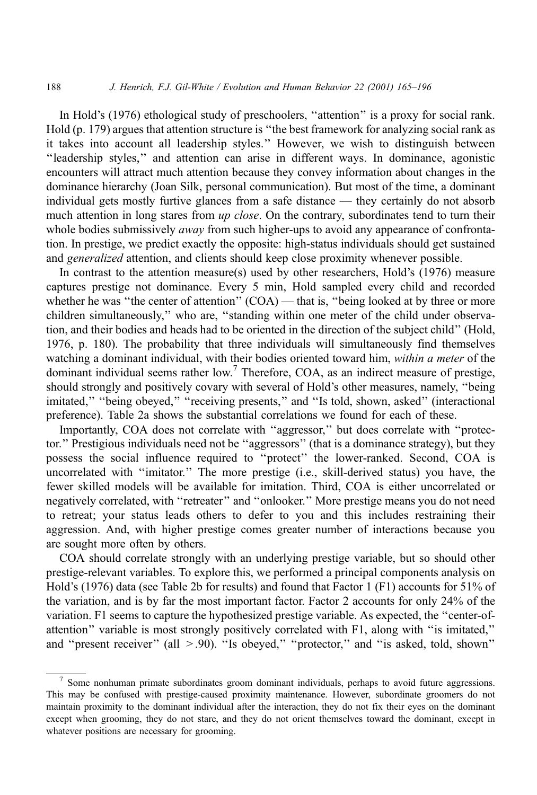In Hold's (1976) ethological study of preschoolers, "attention" is a proxy for social rank. Hold (p. 179) argues that attention structure is "the best framework for analyzing social rank as it takes into account all leadership styles." However, we wish to distinguish between "leadership styles," and attention can arise in different ways. In dominance, agonistic encounters will attract much attention because they convey information about changes in the dominance hierarchy (Joan Silk, personal communication). But most of the time, a dominant individual gets mostly furtive glances from a safe distance — they certainly do not absorb much attention in long stares from up close. On the contrary, subordinates tend to turn their whole bodies submissively away from such higher-ups to avoid any appearance of confrontation. In prestige, we predict exactly the opposite: high-status individuals should get sustained and *generalized* attention, and clients should keep close proximity whenever possible.

In contrast to the attention measure(s) used by other researchers, Hold's (1976) measure captures prestige not dominance. Every 5 min, Hold sampled every child and recorded whether he was "the center of attention" (COA) — that is, "being looked at by three or more children simultaneously," who are, "standing within one meter of the child under observation, and their bodies and heads had to be oriented in the direction of the subject child" (Hold, 1976, p. 180). The probability that three individuals will simultaneously find themselves watching a dominant individual, with their bodies oriented toward him, within a meter of the dominant individual seems rather low.<sup>7</sup> Therefore, COA, as an indirect measure of prestige, should strongly and positively covary with several of Hold's other measures, namely, "being imitated," "being obeyed," "receiving presents," and "Is told, shown, asked" (interactional preference). Table 2a shows the substantial correlations we found for each of these.

Importantly, COA does not correlate with "aggressor," but does correlate with "protector." Prestigious individuals need not be "aggressors" (that is a dominance strategy), but they possess the social influence required to "protect" the lower-ranked. Second, COA is uncorrelated with "imitator." The more prestige (i.e., skill-derived status) you have, the fewer skilled models will be available for imitation. Third, COA is either uncorrelated or negatively correlated, with "retreater" and "onlooker." More prestige means you do not need to retreat; your status leads others to defer to you and this includes restraining their aggression. And, with higher prestige comes greater number of interactions because you are sought more often by others.

COA should correlate strongly with an underlying prestige variable, but so should other prestige-relevant variables. To explore this, we performed a principal components analysis on Hold's (1976) data (see Table 2b for results) and found that Factor 1 (F1) accounts for  $51\%$  of the variation, and is by far the most important factor. Factor 2 accounts for only 24% of the variation. F1 seems to capture the hypothesized prestige variable. As expected, the "center-ofattention" variable is most strongly positively correlated with F1, along with "is imitated," and "present receiver" (all  $> 0.90$ ). "Is obeyed," "protector," and "is asked, told, shown"

188

Some nonhuman primate subordinates groom dominant individuals, perhaps to avoid future aggressions. This may be confused with prestige-caused proximity maintenance. However, subordinate groomers do not maintain proximity to the dominant individual after the interaction, they do not fix their eyes on the dominant except when grooming, they do not stare, and they do not orient themselves toward the dominant, except in whatever positions are necessary for grooming.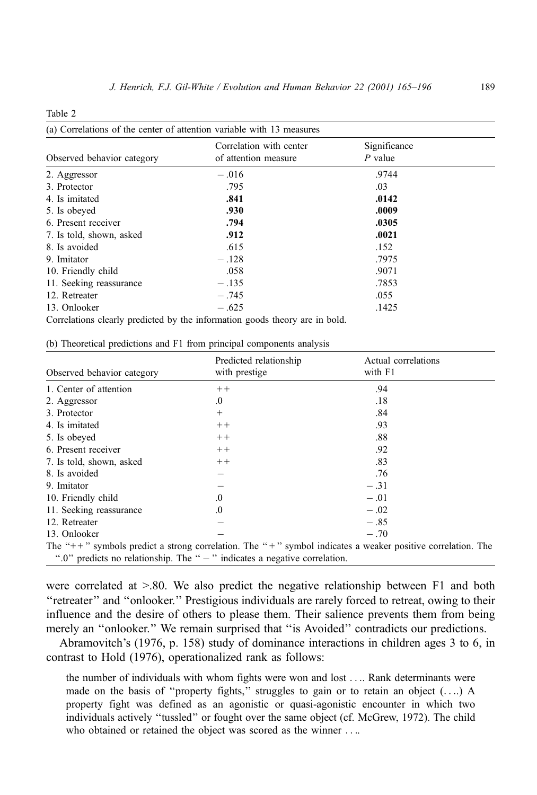#### Table 2

| (a) Correlations of the center of attention variable with 13 measures |                                                 |                           |  |  |
|-----------------------------------------------------------------------|-------------------------------------------------|---------------------------|--|--|
| Observed behavior category                                            | Correlation with center<br>of attention measure | Significance<br>$P$ value |  |  |
| 2. Aggressor                                                          | $-.016$                                         | .9744                     |  |  |
| 3. Protector                                                          | .795                                            | .03                       |  |  |
| 4. Is imitated                                                        | .841                                            | .0142                     |  |  |
| 5. Is obeyed                                                          | .930                                            | .0009                     |  |  |
| 6. Present receiver                                                   | .794                                            | .0305                     |  |  |
| 7. Is told, shown, asked                                              | .912                                            | .0021                     |  |  |
| 8. Is avoided                                                         | .615                                            | .152                      |  |  |
| 9. Imitator                                                           | $-.128$                                         | .7975                     |  |  |
| 10. Friendly child                                                    | .058                                            | .9071                     |  |  |
| 11. Seeking reassurance                                               | $-.135$                                         | .7853                     |  |  |
| 12. Retreater                                                         | $-.745$                                         | .055                      |  |  |
| 13. Onlooker                                                          | $-.625$                                         | .1425                     |  |  |

Correlations clearly predicted by the information goods theory are in bold.

#### (b) Theoretical predictions and F1 from principal components analysis

| Observed behavior category | Predicted relationship<br>with prestige | Actual correlations<br>with F1                                                                             |
|----------------------------|-----------------------------------------|------------------------------------------------------------------------------------------------------------|
| 1. Center of attention     | $++$                                    | .94                                                                                                        |
| 2. Aggressor               | $\cdot$                                 | .18                                                                                                        |
| 3. Protector               | $^{+}$                                  | .84                                                                                                        |
| 4. Is imitated             | $++$                                    | .93                                                                                                        |
| 5. Is obeyed               | $++$                                    | .88                                                                                                        |
| 6. Present receiver        | $++$                                    | .92                                                                                                        |
| 7. Is told, shown, asked   | $++$                                    | .83                                                                                                        |
| 8. Is avoided              |                                         | .76                                                                                                        |
| 9. Imitator                |                                         | $-.31$                                                                                                     |
| 10. Friendly child         | $\cdot$                                 | $-.01$                                                                                                     |
| 11. Seeking reassurance    | $\Omega$                                | $-.02$                                                                                                     |
| 12. Retreater              |                                         | $-.85$                                                                                                     |
| 13. Onlooker               |                                         | $-.70$                                                                                                     |
|                            |                                         | The "++" symbols predict a strong correlation. The "+" symbol indicates a weaker positive correlation. The |

".0" predicts no relationship. The " $-$ " indicates a negative correlation.

were correlated at  $> 80$ . We also predict the negative relationship between F1 and both "retreater" and "onlooker." Prestigious individuals are rarely forced to retreat, owing to their influence and the desire of others to please them. Their salience prevents them from being merely an "onlooker." We remain surprised that "is Avoided" contradicts our predictions.

Abramovitch's (1976, p. 158) study of dominance interactions in children ages 3 to 6, in contrast to Hold (1976), operationalized rank as follows:

the number of individuals with whom fights were won and lost .... Rank determinants were made on the basis of "property fights," struggles to gain or to retain an object  $(\ldots)$  A property fight was defined as an agonistic or quasi-agonistic encounter in which two individuals actively "tussled" or fought over the same object (cf. McGrew, 1972). The child who obtained or retained the object was scored as the winner ....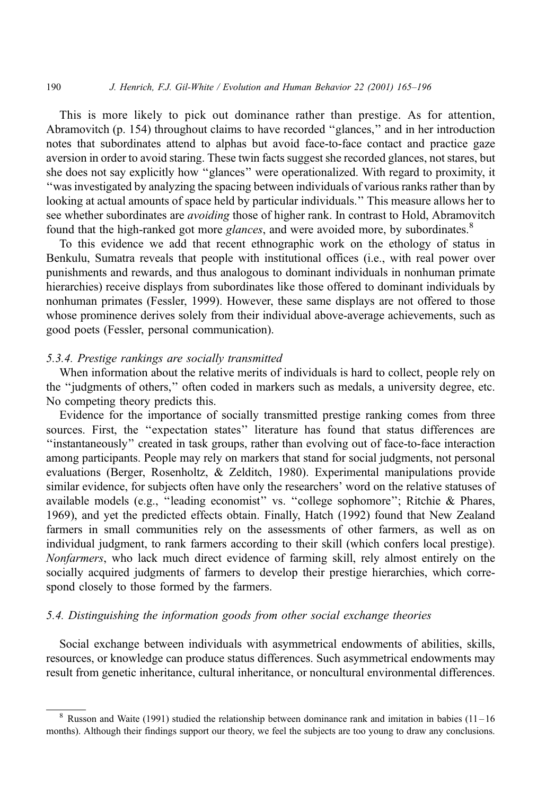This is more likely to pick out dominance rather than prestige. As for attention, Abramovitch (p. 154) throughout claims to have recorded "glances," and in her introduction notes that subordinates attend to alphas but avoid face-to-face contact and practice gaze aversion in order to avoid staring. These twin facts suggest she recorded glances, not stares, but she does not say explicitly how "glances" were operationalized. With regard to proximity, it "was investigated by analyzing the spacing between individuals of various ranks rather than by looking at actual amounts of space held by particular individuals." This measure allows her to see whether subordinates are *avoiding* those of higher rank. In contrast to Hold, Abramovitch found that the high-ranked got more *glances*, and were avoided more, by subordinates.<sup>8</sup>

To this evidence we add that recent ethnographic work on the ethology of status in Benkulu, Sumatra reveals that people with institutional offices (i.e., with real power over punishments and rewards, and thus analogous to dominant individuals in nonhuman primate hierarchies) receive displays from subordinates like those offered to dominant individuals by nonhuman primates (Fessler, 1999). However, these same displays are not offered to those whose prominence derives solely from their individual above-average achievements, such as good poets (Fessler, personal communication).

#### 5.3.4. Prestige rankings are socially transmitted

When information about the relative merits of individuals is hard to collect, people rely on the "judgments of others," often coded in markers such as medals, a university degree, etc. No competing theory predicts this.

Evidence for the importance of socially transmitted prestige ranking comes from three sources. First, the "expectation states" literature has found that status differences are "instantaneously" created in task groups, rather than evolving out of face-to-face interaction among participants. People may rely on markers that stand for social judgments, not personal evaluations (Berger, Rosenholtz, & Zelditch, 1980). Experimental manipulations provide similar evidence, for subjects often have only the researchers' word on the relative statuses of available models (e.g., "leading economist" vs. "college sophomore"; Ritchie & Phares, 1969), and yet the predicted effects obtain. Finally, Hatch (1992) found that New Zealand farmers in small communities rely on the assessments of other farmers, as well as on individual judgment, to rank farmers according to their skill (which confers local prestige). *Nonfarmers*, who lack much direct evidence of farming skill, rely almost entirely on the socially acquired judgments of farmers to develop their prestige hierarchies, which correspond closely to those formed by the farmers.

#### 5.4. Distinguishing the information goods from other social exchange theories

Social exchange between individuals with asymmetrical endowments of abilities, skills, resources, or knowledge can produce status differences. Such asymmetrical endowments may result from genetic inheritance, cultural inheritance, or noncultural environmental differences.

190

 $8$  Russon and Waite (1991) studied the relationship between dominance rank and imitation in babies (11-16) months). Although their findings support our theory, we feel the subjects are too young to draw any conclusions.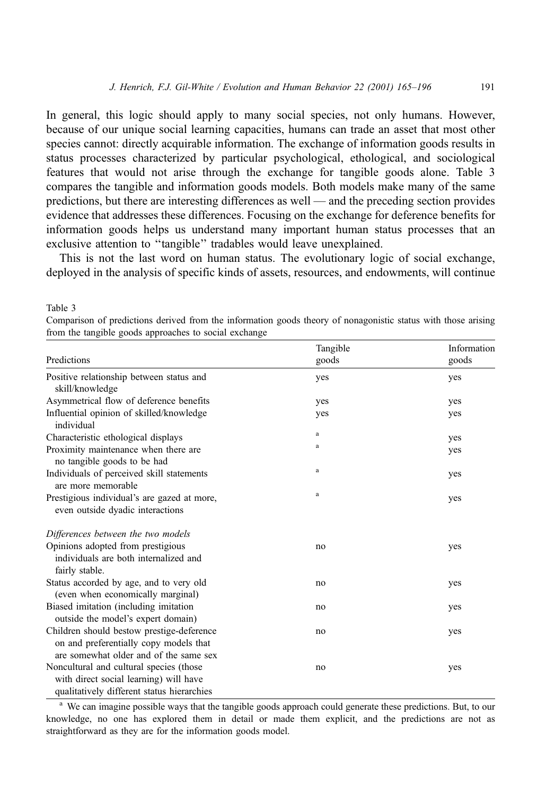In general, this logic should apply to many social species, not only humans. However, because of our unique social learning capacities, humans can trade an asset that most other species cannot: directly acquirable information. The exchange of information goods results in status processes characterized by particular psychological, ethological, and sociological features that would not arise through the exchange for tangible goods alone. Table 3 compares the tangible and information goods models. Both models make many of the same predictions, but there are interesting differences as well — and the preceding section provides evidence that addresses these differences. Focusing on the exchange for deference benefits for information goods helps us understand many important human status processes that an exclusive attention to "tangible" tradables would leave unexplained.

This is not the last word on human status. The evolutionary logic of social exchange, deployed in the analysis of specific kinds of assets, resources, and endowments, will continue

Table 3

Comparison of predictions derived from the information goods theory of nonagonistic status with those arising from the tangible goods approaches to social exchange

|                                                                                                                                 | Tangible | Information |  |
|---------------------------------------------------------------------------------------------------------------------------------|----------|-------------|--|
| Predictions                                                                                                                     | goods    | goods       |  |
| Positive relationship between status and<br>skill/knowledge                                                                     | yes      | yes         |  |
| Asymmetrical flow of deference benefits                                                                                         | yes      | yes         |  |
| Influential opinion of skilled/knowledge<br>individual                                                                          | yes      | yes         |  |
| Characteristic ethological displays                                                                                             | a        | yes         |  |
| Proximity maintenance when there are<br>no tangible goods to be had                                                             | a        | yes         |  |
| Individuals of perceived skill statements<br>are more memorable                                                                 | $\rm{a}$ | yes         |  |
| Prestigious individual's are gazed at more,<br>even outside dyadic interactions                                                 | $\rm{a}$ | yes         |  |
| Differences between the two models                                                                                              |          |             |  |
| Opinions adopted from prestigious<br>individuals are both internalized and<br>fairly stable.                                    | no       | yes         |  |
| Status accorded by age, and to very old<br>(even when economically marginal)                                                    | no       | yes         |  |
| Biased imitation (including imitation<br>outside the model's expert domain)                                                     | no       | yes         |  |
| Children should bestow prestige-deference<br>on and preferentially copy models that<br>are somewhat older and of the same sex   | no       | yes         |  |
| Noncultural and cultural species (those<br>with direct social learning) will have<br>qualitatively different status hierarchies | no       | yes         |  |

<sup>a</sup> We can imagine possible ways that the tangible goods approach could generate these predictions. But, to our knowledge, no one has explored them in detail or made them explicit, and the predictions are not as straightforward as they are for the information goods model.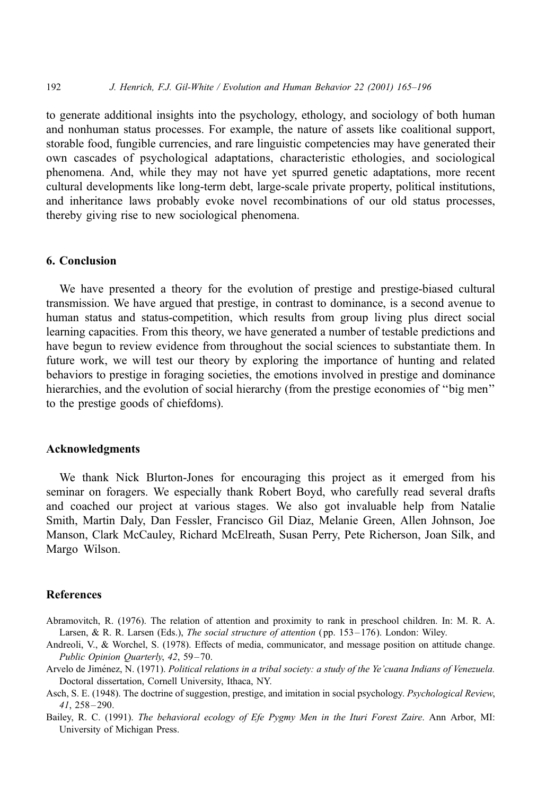to generate additional insights into the psychology, ethology, and sociology of both human and nonhuman status processes. For example, the nature of assets like coalitional support, storable food, fungible currencies, and rare linguistic competencies may have generated their own cascades of psychological adaptations, characteristic ethologies, and sociological phenomena. And, while they may not have yet spurred genetic adaptations, more recent cultural developments like long-term debt, large-scale private property, political institutions, and inheritance laws probably evoke novel recombinations of our old status processes, thereby giving rise to new sociological phenomena.

# 6. Conclusion

We have presented a theory for the evolution of prestige and prestige-biased cultural transmission. We have argued that prestige, in contrast to dominance, is a second avenue to human status and status-competition, which results from group living plus direct social learning capacities. From this theory, we have generated a number of testable predictions and have begun to review evidence from throughout the social sciences to substantiate them. In future work, we will test our theory by exploring the importance of hunting and related behaviors to prestige in foraging societies, the emotions involved in prestige and dominance hierarchies, and the evolution of social hierarchy (from the prestige economies of "big men" to the prestige goods of chiefdoms).

# **Acknowledgments**

We thank Nick Blurton-Jones for encouraging this project as it emerged from his seminar on foragers. We especially thank Robert Boyd, who carefully read several drafts and coached our project at various stages. We also got invaluable help from Natalie Smith, Martin Daly, Dan Fessler, Francisco Gil Diaz, Melanie Green, Allen Johnson, Joe Manson, Clark McCauley, Richard McElreath, Susan Perry, Pete Richerson, Joan Silk, and Margo Wilson.

# **References**

- Abramovitch, R. (1976). The relation of attention and proximity to rank in preschool children. In: M. R. A. Larsen, & R. R. Larsen (Eds.), The social structure of attention (pp.  $153-176$ ). London: Wiley.
- Andreoli, V., & Worchel, S. (1978). Effects of media, communicator, and message position on attitude change. Public Opinion Quarterly, 42, 59-70.
- Arvelo de Jiménez, N. (1971). Political relations in a tribal society: a study of the Ye'cuana Indians of Venezuela. Doctoral dissertation, Cornell University, Ithaca, NY.
- Asch, S. E. (1948). The doctrine of suggestion, prestige, and imitation in social psychology. Psychological Review,  $41, 258 - 290.$
- Bailey, R. C. (1991). The behavioral ecology of Efe Pygmy Men in the Ituri Forest Zaire. Ann Arbor, MI: University of Michigan Press.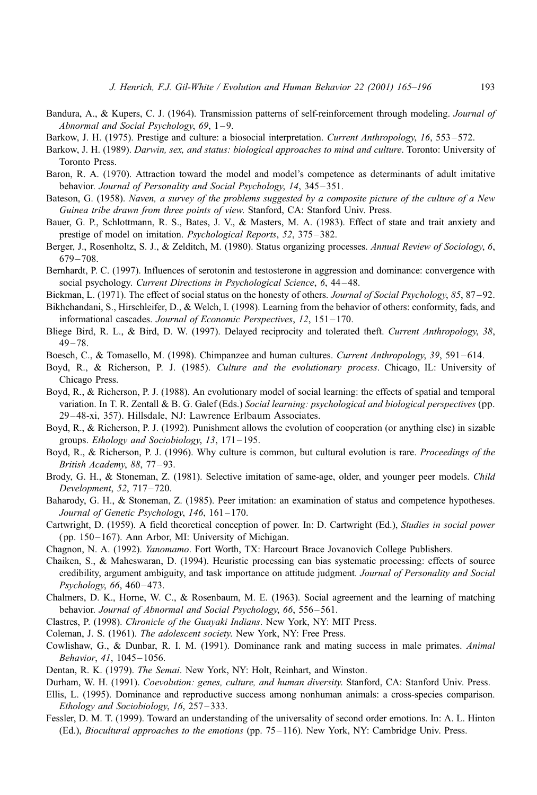- Bandura, A., & Kupers, C. J. (1964). Transmission patterns of self-reinforcement through modeling. Journal of Abnormal and Social Psychology, 69, 1-9.
- Barkow, J. H. (1975). Prestige and culture: a biosocial interpretation. Current Anthropology, 16, 553-572.
- Barkow, J. H. (1989). Darwin, sex, and status: biological approaches to mind and culture. Toronto: University of Toronto Press.
- Baron, R. A. (1970). Attraction toward the model and model's competence as determinants of adult imitative behavior. Journal of Personality and Social Psychology, 14, 345-351.
- Bateson, G. (1958). Naven, a survey of the problems suggested by a composite picture of the culture of a New Guinea tribe drawn from three points of view. Stanford, CA: Stanford Univ. Press.
- Bauer, G. P., Schlottmann, R. S., Bates, J. V., & Masters, M. A. (1983). Effect of state and trait anxiety and prestige of model on imitation. *Psychological Reports*, 52, 375–382.
- Berger, J., Rosenholtz, S. J., & Zelditch, M. (1980). Status organizing processes. Annual Review of Sociology, 6,  $679 - 708.$
- Bernhardt, P. C. (1997). Influences of serotonin and testosterone in aggression and dominance: convergence with social psychology. Current Directions in Psychological Science, 6, 44-48.
- Bickman, L. (1971). The effect of social status on the honesty of others. Journal of Social Psychology, 85, 87-92.
- Bikhchandani, S., Hirschleifer, D., & Welch, I. (1998). Learning from the behavior of others: conformity, fads, and informational cascades. Journal of Economic Perspectives, 12, 151-170.
- Bliege Bird, R. L., & Bird, D. W. (1997). Delayed reciprocity and tolerated theft. Current Anthropology, 38,  $49 - 78.$
- Boesch, C., & Tomasello, M. (1998). Chimpanzee and human cultures. Current Anthropology, 39, 591-614.
- Boyd, R., & Richerson, P. J. (1985). Culture and the evolutionary process. Chicago, IL: University of Chicago Press.
- Boyd, R., & Richerson, P. J. (1988). An evolutionary model of social learning: the effects of spatial and temporal variation. In T. R. Zentall & B. G. Galef (Eds.) Social learning: psychological and biological perspectives (pp. 29-48-xi, 357). Hillsdale, NJ: Lawrence Erlbaum Associates.
- Boyd, R., & Richerson, P. J. (1992). Punishment allows the evolution of cooperation (or anything else) in sizable groups. *Ethology and Sociobiology*,  $13$ ,  $171-195$ .
- Boyd, R., & Richerson, P. J. (1996). Why culture is common, but cultural evolution is rare. Proceedings of the British Academy, 88, 77-93.
- Brody, G. H., & Stoneman, Z. (1981). Selective imitation of same-age, older, and younger peer models. Child Development, 52, 717-720.
- Baharody, G. H., & Stoneman, Z. (1985). Peer imitation: an examination of status and competence hypotheses. Journal of Genetic Psychology, 146, 161-170.
- Cartwright, D. (1959). A field theoretical conception of power. In: D. Cartwright (Ed.), Studies in social power (pp. 150–167). Ann Arbor, MI: University of Michigan.
- Chagnon, N. A. (1992). *Yanomamo*. Fort Worth, TX: Harcourt Brace Jovanovich College Publishers.
- Chaiken, S., & Maheswaran, D. (1994). Heuristic processing can bias systematic processing: effects of source credibility, argument ambiguity, and task importance on attitude judgment. Journal of Personality and Social  $P$ sychology, 66, 460–473.
- Chalmers, D. K., Horne, W. C., & Rosenbaum, M. E. (1963). Social agreement and the learning of matching behavior. Journal of Abnormal and Social Psychology, 66, 556–561.
- Clastres, P. (1998). Chronicle of the Guayaki Indians. New York, NY: MIT Press.
- Coleman, J. S. (1961). The adolescent society. New York, NY: Free Press.
- Cowlishaw, G., & Dunbar, R. I. M. (1991). Dominance rank and mating success in male primates. Animal Behavior, 41, 1045-1056.
- Dentan, R. K. (1979). The Semai. New York, NY: Holt, Reinhart, and Winston.
- Durham, W. H. (1991). Coevolution: genes, culture, and human diversity. Stanford, CA: Stanford Univ. Press.
- Ellis, L. (1995). Dominance and reproductive success among nonhuman animals: a cross-species comparison. Ethology and Sociobiology, 16, 257-333.
- Fessler, D. M. T. (1999). Toward an understanding of the universality of second order emotions. In: A. L. Hinton (Ed.), *Biocultural approaches to the emotions* (pp. 75–116). New York, NY: Cambridge Univ. Press.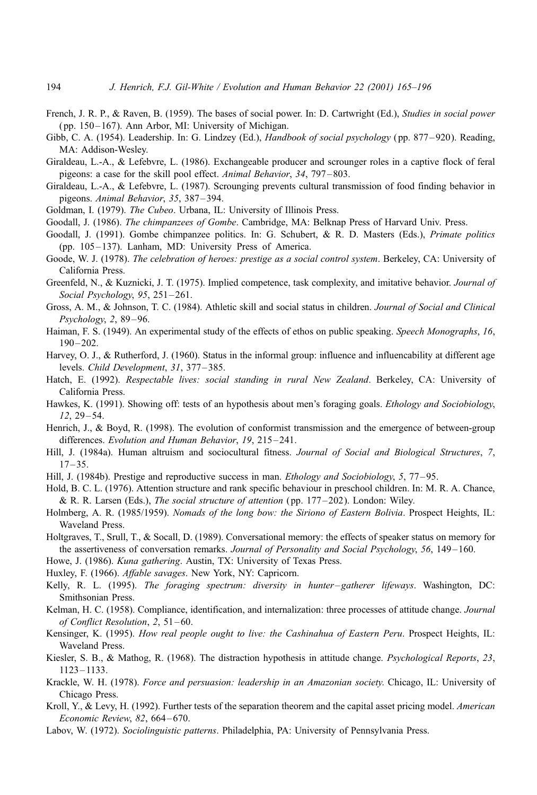- French, J. R. P., & Raven, B. (1959). The bases of social power. In: D. Cartwright (Ed.), Studies in social power (pp. 150–167). Ann Arbor, MI: University of Michigan.
- Gibb, C. A. (1954). Leadership. In: G. Lindzey (Ed.), Handbook of social psychology (pp. 877-920). Reading, MA: Addison-Wesley.
- Giraldeau, L.-A., & Lefebvre, L. (1986). Exchangeable producer and scrounger roles in a captive flock of feral pigeons: a case for the skill pool effect. Animal Behavior, 34, 797-803.
- Giraldeau, L.-A., & Lefebvre, L. (1987). Scrounging prevents cultural transmission of food finding behavior in pigeons. Animal Behavior, 35, 387-394.
- Goldman, I. (1979). The Cubeo. Urbana, IL: University of Illinois Press.
- Goodall, J. (1986). *The chimpanzees of Gombe*. Cambridge, MA: Belknap Press of Harvard Univ. Press.
- Goodall, J. (1991). Gombe chimpanzee politics. In: G. Schubert, & R. D. Masters (Eds.), Primate politics (pp. 105-137). Lanham, MD: University Press of America.
- Goode, W. J. (1978). The celebration of heroes: prestige as a social control system. Berkeley, CA: University of California Press.
- Greenfeld, N., & Kuznicki, J. T. (1975). Implied competence, task complexity, and imitative behavior. Journal of Social Psychology, 95, 251-261.
- Gross, A. M., & Johnson, T. C. (1984). Athletic skill and social status in children. Journal of Social and Clinical Psychology, 2, 89-96.
- Haiman, F. S. (1949). An experimental study of the effects of ethos on public speaking. Speech Monographs, 16,  $190 - 202$ .
- Harvey, O. J., & Rutherford, J. (1960). Status in the informal group: influence and influencability at different age levels. Child Development, 31, 377-385.
- Hatch, E. (1992). Respectable lives: social standing in rural New Zealand. Berkeley, CA: University of California Press.
- Hawkes, K. (1991). Showing off: tests of an hypothesis about men's foraging goals. *Ethology and Sociobiology*,  $12, 29 - 54.$
- Henrich, J., & Boyd, R. (1998). The evolution of conformist transmission and the emergence of between-group differences. Evolution and Human Behavior, 19, 215-241.
- Hill, J. (1984a). Human altruism and sociocultural fitness. Journal of Social and Biological Structures, 7,  $17 - 35$ .
- Hill, J. (1984b). Prestige and reproductive success in man. *Ethology and Sociobiology*, 5, 77–95.
- Hold, B. C. L. (1976). Attention structure and rank specific behaviour in preschool children. In: M. R. A. Chance, & R. R. Larsen (Eds.), The social structure of attention (pp.  $177-202$ ). London: Wiley.
- Holmberg, A. R. (1985/1959). Nomads of the long bow: the Siriono of Eastern Bolivia. Prospect Heights, IL: Waveland Press.
- Holtgraves, T., Srull, T., & Socall, D. (1989). Conversational memory: the effects of speaker status on memory for the assertiveness of conversation remarks. Journal of Personality and Social Psychology, 56, 149–160.
- Howe, J. (1986). Kuna gathering. Austin, TX: University of Texas Press.
- Huxley, F. (1966). Affable savages. New York, NY: Capricorn.
- Kelly, R. L. (1995). The foraging spectrum: diversity in hunter-gatherer lifeways. Washington, DC: Smithsonian Press.
- Kelman, H. C. (1958). Compliance, identification, and internalization: three processes of attitude change. Journal of Conflict Resolution, 2, 51-60.
- Kensinger, K. (1995). How real people ought to live: the Cashinahua of Eastern Peru. Prospect Heights, IL: Waveland Press.
- Kiesler, S. B., & Mathog, R. (1968). The distraction hypothesis in attitude change. Psychological Reports, 23,  $1123 - 1133.$
- Krackle, W. H. (1978). Force and persuasion: leadership in an Amazonian society. Chicago, IL: University of Chicago Press.
- Kroll, Y., & Levy, H. (1992). Further tests of the separation theorem and the capital asset pricing model. American Economic Review, 82, 664-670.
- Labov, W. (1972). Sociolinguistic patterns. Philadelphia, PA: University of Pennsylvania Press.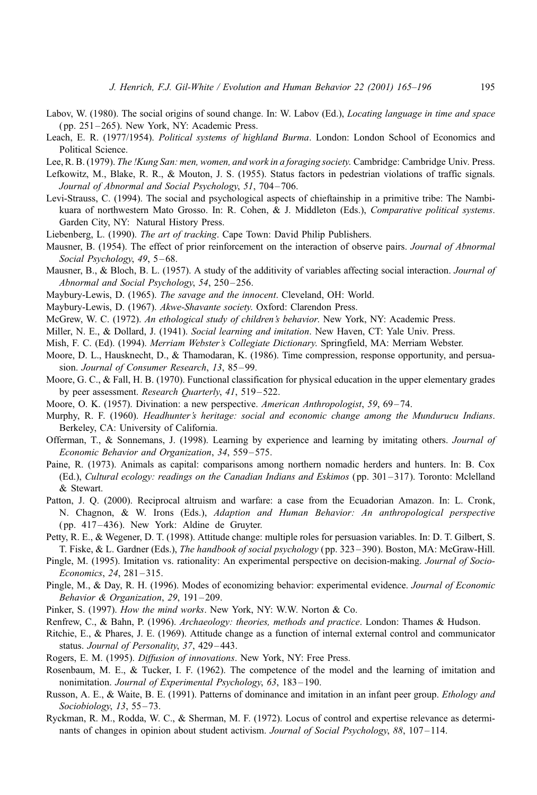- Labov, W. (1980). The social origins of sound change. In: W. Labov (Ed.), *Locating language in time and space* (pp.  $251-265$ ). New York, NY: Academic Press.
- Leach, E. R. (1977/1954). Political systems of highland Burma. London: London School of Economics and Political Science.
- Lee, R. B. (1979). *The !Kung San: men, women, and work in a foraging society.* Cambridge: Cambridge Univ. Press.
- Lefkowitz, M., Blake, R. R., & Mouton, J. S. (1955). Status factors in pedestrian violations of traffic signals. Journal of Abnormal and Social Psychology, 51, 704-706.
- Levi-Strauss, C. (1994). The social and psychological aspects of chieftainship in a primitive tribe: The Nambikuara of northwestern Mato Grosso. In: R. Cohen, & J. Middleton (Eds.), Comparative political systems. Garden City, NY: Natural History Press.
- Liebenberg, L. (1990). The art of tracking. Cape Town: David Philip Publishers.
- Mausner, B. (1954). The effect of prior reinforcement on the interaction of observe pairs. Journal of Abnormal Social Psychology, 49, 5-68.
- Mausner, B., & Bloch, B. L. (1957). A study of the additivity of variables affecting social interaction. Journal of Abnormal and Social Psychology, 54, 250-256.
- Maybury-Lewis, D. (1965). The savage and the innocent. Cleveland, OH: World.
- Maybury-Lewis, D. (1967). Akwe-Shavante society. Oxford: Clarendon Press.
- McGrew, W. C. (1972). An ethological study of children's behavior. New York, NY: Academic Press.
- Miller, N. E., & Dollard, J. (1941). Social learning and imitation. New Haven, CT: Yale Univ. Press.
- Mish, F. C. (Ed). (1994). Merriam Webster's Collegiate Dictionary. Springfield, MA: Merriam Webster.
- Moore, D. L., Hausknecht, D., & Thamodaran, K. (1986). Time compression, response opportunity, and persuasion. Journal of Consumer Research, 13, 85–99.
- Moore, G. C., & Fall, H. B. (1970). Functional classification for physical education in the upper elementary grades by peer assessment. Research Quarterly, 41, 519–522.
- Moore, O. K. (1957). Divination: a new perspective. American Anthropologist, 59, 69–74.
- Murphy, R. F. (1960). Headhunter's heritage: social and economic change among the Mundurucu Indians. Berkeley, CA: University of California.
- Offerman, T., & Sonnemans, J. (1998). Learning by experience and learning by imitating others. *Journal of* Economic Behavior and Organization, 34, 559-575.
- Paine, R. (1973). Animals as capital: comparisons among northern nomadic herders and hunters. In: B. Cox (Ed.), Cultural ecology: readings on the Canadian Indians and Eskimos (pp. 301–317). Toronto: Mclelland & Stewart.
- Patton, J. O. (2000). Reciprocal altruism and warfare: a case from the Ecuadorian Amazon. In: L. Cronk, N. Chagnon, & W. Irons (Eds.), Adaption and Human Behavior: An anthropological perspective (pp. 417-436). New York: Aldine de Gruyter.
- Petty, R. E., & Wegener, D. T. (1998). Attitude change: multiple roles for persuasion variables. In: D. T. Gilbert, S. T. Fiske, & L. Gardner (Eds.), The handbook of social psychology (pp. 323-390). Boston, MA: McGraw-Hill.
- Pingle, M. (1995). Imitation vs. rationality: An experimental perspective on decision-making. Journal of Socio-Economics, 24, 281-315.
- Pingle, M., & Day, R. H. (1996). Modes of economizing behavior: experimental evidence. Journal of Economic Behavior & Organization, 29, 191-209.
- Pinker, S. (1997). How the mind works. New York, NY: W.W. Norton & Co.
- Renfrew, C., & Bahn, P. (1996). Archaeology: theories, methods and practice. London: Thames & Hudson.
- Ritchie, E., & Phares, J. E. (1969). Attitude change as a function of internal external control and communicator status. Journal of Personality, 37, 429–443.
- Rogers, E. M. (1995). Diffusion of innovations. New York, NY: Free Press.
- Rosenbaum, M. E., & Tucker, I. F. (1962). The competence of the model and the learning of imitation and nonimitation. Journal of Experimental Psychology, 63, 183-190.
- Russon, A. E., & Waite, B. E. (1991). Patterns of dominance and imitation in an infant peer group. *Ethology and* Sociobiology,  $13, 55-73$ .
- Ryckman, R. M., Rodda, W. C., & Sherman, M. F. (1972). Locus of control and expertise relevance as determinants of changes in opinion about student activism. Journal of Social Psychology, 88, 107–114.